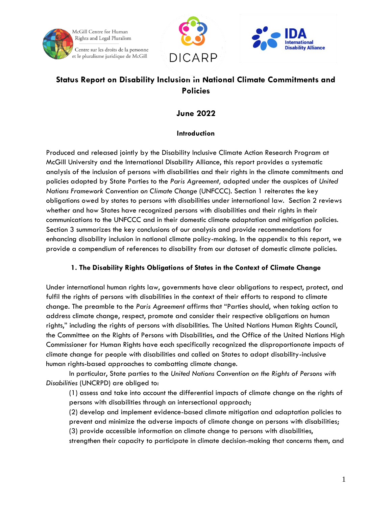





# **Status Report on Disability Inclusion in National Climate Commitments and Policies**

## **June 2022**

## **Introduction**

Produced and released jointly by the Disability Inclusive Climate Action Research Program at McGill University and the International Disability Alliance, this report provides a systematic analysis of the inclusion of persons with disabilities and their rights in the climate commitments and policies adopted by State Parties to the *Paris Agreement,* adopted under the auspices of *United Nations Framework Convention on Climate Change* (UNFCCC). Section 1 reiterates the key obligations owed by states to persons with disabilities under international law. Section 2 reviews whether and how States have recognized persons with disabilities and their rights in their communications to the UNFCCC and in their domestic climate adaptation and mitigation policies. Section 3 summarizes the key conclusions of our analysis and provide recommendations for enhancing disability inclusion in national climate policy-making. In the appendix to this report, we provide a compendium of references to disability from our dataset of domestic climate policies.

## **1. The Disability Rights Obligations of States in the Context of Climate Change**

Under international human rights law, governments have clear obligations to respect, protect, and fulfil the rights of persons with disabilities in the context of their efforts to respond to climate change. The preamble to the *Paris Agreement* affirms that "Parties should, when taking action to address climate change, respect, promote and consider their respective obligations on human rights," including the rights of persons with disabilities. The United Nations Human Rights Council, the Committee on the Rights of Persons with Disabilities, and the Office of the United Nations High Commissioner for Human Rights have each specifically recognized the disproportionate impacts of climate change for people with disabilities and called on States to adopt disability-inclusive human rights-based approaches to combatting climate change.

In particular, State parties to the *United Nations Convention on the Rights of Persons with Disabilities* (UNCRPD) are obliged to:

(1) assess and take into account the differential impacts of climate change on the rights of persons with disabilities through an intersectional approach;

(2) develop and implement evidence-based climate mitigation and adaptation policies to prevent and minimize the adverse impacts of climate change on persons with disabilities;

(3) provide accessible information on climate change to persons with disabilities,

strengthen their capacity to participate in climate decision-making that concerns them, and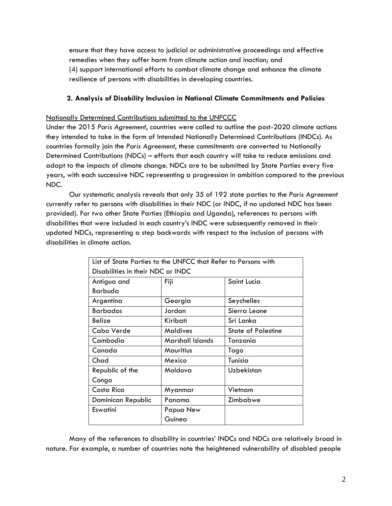ensure that they have access to judicial or administrative proceedings and effective remedies when they suffer harm from climate action and inaction; and (4) support international efforts to combat climate change and enhance the climate resilience of persons with disabilities in developing countries.

### **2. Analysis of Disability Inclusion in National Climate Commitments and Policies**

#### Nationally Determined Contributions submitted to the UNFCCC

Under the 2015 *Paris Agreement*, countries were called to outline the post-2020 climate actions they intended to take in the form of Intended Nationally Determined Contributions (INDCs). As countries formally join the *Paris Agreement*, these commitments are converted to Nationally Determined Contributions (NDCs) – efforts that each country will take to reduce emissions and adapt to the impacts of climate change. NDCs are to be submitted by State Parties every five years, with each successive NDC representing a progression in ambition compared to the previous NDC.

Our systematic analysis reveals that only 35 of 192 state parties to the *Paris Agreement* currently refer to persons with disabilities in their NDC (or INDC, if no updated NDC has been provided). For two other State Parties (Ethiopia and Uganda), references to persons with disabilities that were included in each country's INDC were subsequently removed in their updated NDCs, representing a step backwards with respect to the inclusion of persons with disabilities in climate action.

| List of State Parties to the UNFCC that Refer to Persons with |                  |                           |
|---------------------------------------------------------------|------------------|---------------------------|
| Disabilities in their NDC or INDC                             |                  |                           |
| Antigua and                                                   | Fiji             | Saint Lucia               |
| Barbuda                                                       |                  |                           |
| Argentina                                                     | Georgia          | Seychelles                |
| <b>Barbados</b>                                               | Jordan           | Sierra Leone              |
| Belize                                                        | Kiribati         | Sri Lanka                 |
| Cabo Verde                                                    | <b>Maldives</b>  | <b>State of Palestine</b> |
| Cambodia                                                      | Marshall Islands | Tanzania                  |
| Canada                                                        | <b>Mauritius</b> | Togo                      |
| Chad                                                          | Mexico           | Tunisia                   |
| Republic of the                                               | Moldova          | Uzbekistan                |
| Congo                                                         |                  |                           |
| Costa Rica                                                    | Myanmar          | Vietnam                   |
| Dominican Republic                                            | Panama           | Zimbabwe                  |
| Eswatini                                                      | Papua New        |                           |
|                                                               | Guinea           |                           |

Many of the references to disability in countries' INDCs and NDCs are relatively broad in nature. For example, a number of countries note the heightened vulnerability of disabled people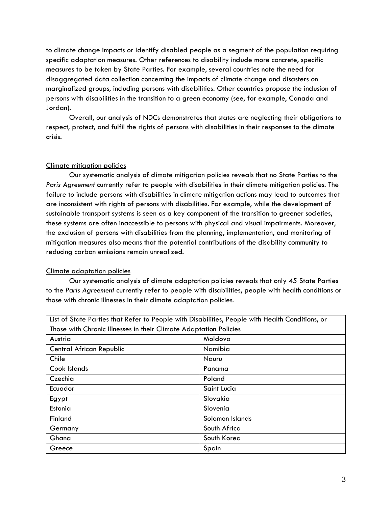to climate change impacts or identify disabled people as a segment of the population requiring specific adaptation measures. Other references to disability include more concrete, specific measures to be taken by State Parties. For example, several countries note the need for disaggregated data collection concerning the impacts of climate change and disasters on marginalized groups, including persons with disabilities. Other countries propose the inclusion of persons with disabilities in the transition to a green economy (see, for example, Canada and Jordan).

Overall, our analysis of NDCs demonstrates that states are neglecting their obligations to respect, protect, and fulfil the rights of persons with disabilities in their responses to the climate crisis.

#### Climate mitigation policies

Our systematic analysis of climate mitigation policies reveals that no State Parties to the *Paris Agreement* currently refer to people with disabilities in their climate mitigation policies. The failure to include persons with disabilities in climate mitigation actions may lead to outcomes that are inconsistent with rights of persons with disabilities. For example, while the development of sustainable transport systems is seen as a key component of the transition to greener societies, these systems are often inaccessible to persons with physical and visual impairments. Moreover, the exclusion of persons with disabilities from the planning, implementation, and monitoring of mitigation measures also means that the potential contributions of the disability community to reducing carbon emissions remain unrealized.

#### Climate adaptation policies

Our systematic analysis of climate adaptation policies reveals that only 45 State Parties to the *Paris Agreement* currently refer to people with disabilities, people with health conditions or those with chronic illnesses in their climate adaptation policies.

| List of State Parties that Refer to People with Disabilities, People with Health Conditions, or |                 |  |
|-------------------------------------------------------------------------------------------------|-----------------|--|
| Those with Chronic Illnesses in their Climate Adaptation Policies                               |                 |  |
| Austria                                                                                         | Moldova         |  |
| <b>Central African Republic</b>                                                                 | Namibia         |  |
| Chile                                                                                           | Nauru           |  |
| Cook Islands                                                                                    | Panama          |  |
| Czechia                                                                                         | Poland          |  |
| Ecuador                                                                                         | Saint Lucia     |  |
| Egypt                                                                                           | Slovakia        |  |
| Estonia                                                                                         | Slovenia        |  |
| Finland                                                                                         | Solomon Islands |  |
| Germany                                                                                         | South Africa    |  |
| Ghana                                                                                           | South Korea     |  |
| Greece                                                                                          | Spain           |  |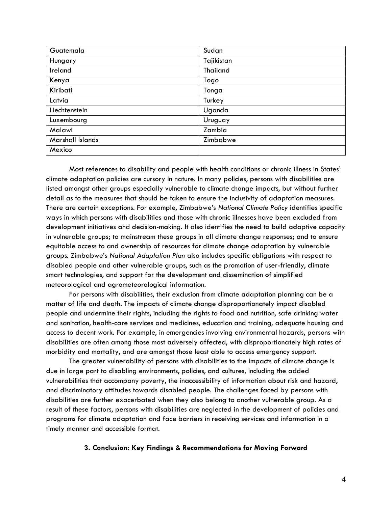| Guatemala        | Sudan           |
|------------------|-----------------|
| Hungary          | Tajikistan      |
| Ireland          | <b>Thailand</b> |
| Kenya            | Togo            |
| Kiribati         | Tonga           |
| Latvia           | Turkey          |
| Liechtenstein    | Uganda          |
| Luxembourg       | Uruguay         |
| Malawi           | Zambia          |
| Marshall Islands | Zimbabwe        |
| Mexico           |                 |

Most references to disability and people with health conditions or chronic illness in States' climate adaptation policies are cursory in nature. In many policies, persons with disabilities are listed amongst other groups especially vulnerable to climate change impacts, but without further detail as to the measures that should be taken to ensure the inclusivity of adaptation measures. There are certain exceptions. For example, Zimbabwe's *National Climate Policy* identifies specific ways in which persons with disabilities and those with chronic illnesses have been excluded from development initiatives and decision-making. It also identifies the need to build adaptive capacity in vulnerable groups; to mainstream these groups in all climate change responses; and to ensure equitable access to and ownership of resources for climate change adaptation by vulnerable groups. Zimbabwe's *National Adaptation Plan* also includes specific obligations with respect to disabled people and other vulnerable groups, such as the promotion of user-friendly, climate smart technologies, and support for the development and dissemination of simplified meteorological and agrometeorological information.

For persons with disabilities, their exclusion from climate adaptation planning can be a matter of life and death. The impacts of climate change disproportionately impact disabled people and undermine their rights, including the rights to food and nutrition, safe drinking water and sanitation, health-care services and medicines, education and training, adequate housing and access to decent work. For example, in emergencies involving environmental hazards, persons with disabilities are often among those most adversely affected, with disproportionately high rates of morbidity and mortality, and are amongst those least able to access emergency support.

The greater vulnerability of persons with disabilities to the impacts of climate change is due in large part to disabling environments, policies, and cultures, including the added vulnerabilities that accompany poverty, the inaccessibility of information about risk and hazard, and discriminatory attitudes towards disabled people. The challenges faced by persons with disabilities are further exacerbated when they also belong to another vulnerable group. As a result of these factors, persons with disabilities are neglected in the development of policies and programs for climate adaptation and face barriers in receiving services and information in a timely manner and accessible format.

#### **3. Conclusion: Key Findings & Recommendations for Moving Forward**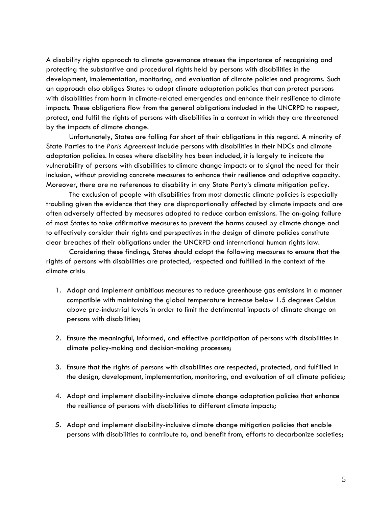A disability rights approach to climate governance stresses the importance of recognizing and protecting the substantive and procedural rights held by persons with disabilities in the development, implementation, monitoring, and evaluation of climate policies and programs. Such an approach also obliges States to adopt climate adaptation policies that can protect persons with disabilities from harm in climate-related emergencies and enhance their resilience to climate impacts. These obligations flow from the general obligations included in the UNCRPD to respect, protect, and fulfil the rights of persons with disabilities in a context in which they are threatened by the impacts of climate change.

Unfortunately, States are falling far short of their obligations in this regard. A minority of State Parties to the *Paris Agreement* include persons with disabilities in their NDCs and climate adaptation policies. In cases where disability has been included, it is largely to indicate the vulnerability of persons with disabilities to climate change impacts or to signal the need for their inclusion, without providing concrete measures to enhance their resilience and adaptive capacity. Moreover, there are no references to disability in any State Party's climate mitigation policy.

The exclusion of people with disabilities from most domestic climate policies is especially troubling given the evidence that they are disproportionally affected by climate impacts and are often adversely affected by measures adopted to reduce carbon emissions. The on-going failure of most States to take affirmative measures to prevent the harms caused by climate change and to effectively consider their rights and perspectives in the design of climate policies constitute clear breaches of their obligations under the UNCRPD and international human rights law.

Considering these findings, States should adopt the following measures to ensure that the rights of persons with disabilities are protected, respected and fulfilled in the context of the climate crisis:

- 1. Adopt and implement ambitious measures to reduce greenhouse gas emissions in a manner compatible with maintaining the global temperature increase below 1.5 degrees Celsius above pre-industrial levels in order to limit the detrimental impacts of climate change on persons with disabilities;
- 2. Ensure the meaningful, informed, and effective participation of persons with disabilities in climate policy-making and decision-making processes;
- 3. Ensure that the rights of persons with disabilities are respected, protected, and fulfilled in the design, development, implementation, monitoring, and evaluation of all climate policies;
- 4. Adopt and implement disability-inclusive climate change adaptation policies that enhance the resilience of persons with disabilities to different climate impacts;
- 5. Adopt and implement disability-inclusive climate change mitigation policies that enable persons with disabilities to contribute to, and benefit from, efforts to decarbonize societies;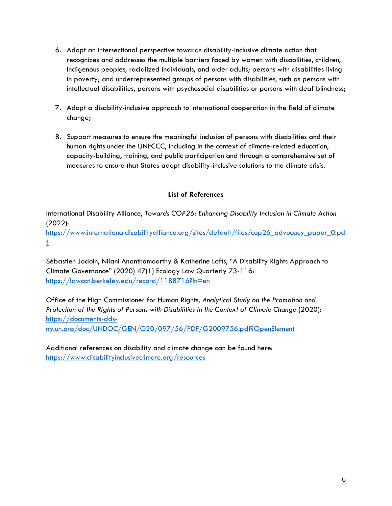- 6. Adopt an intersectional perspective towards disability-inclusive climate action that recognizes and addresses the multiple barriers faced by women with disabilities, children, Indigenous peoples, racialized individuals, and older adults; persons with disabilities living in poverty; and underrepresented groups of persons with disabilities, such as persons with intellectual disabilities, persons with psychosocial disabilities or persons with deaf blindness;
- 7. Adopt a disability-inclusive approach to international cooperation in the field of climate change;
- 8. Support measures to ensure the meaningful inclusion of persons with disabilities and their human rights under the UNFCCC, including in the context of climate-related education, capacity-building, training, and public participation and through a comprehensive set of measures to ensure that States adopt disability-inclusive solutions to the climate crisis.

## **List of References**

International Disability Alliance, *Towards COP26: Enhancing Disability Inclusion in Climate Action* (2022): [https://www.internationaldisabilityalliance.org/sites/default/files/cop26\\_advocacy\\_paper\\_0.pd](https://www.internationaldisabilityalliance.org/sites/default/files/cop26_advocacy_paper_0.pdf) [f](https://www.internationaldisabilityalliance.org/sites/default/files/cop26_advocacy_paper_0.pdf)

Sébastien Jodoin, Nilani Ananthamoorthy & Katherine Lofts, "A Disability Rights Approach to Climate Governance" (2020) 47(1) Ecology Law Quarterly 73-116: <https://lawcat.berkeley.edu/record/1188716?ln=en>

Office of the High Commissioner for Human Rights, *Analytical Study on the Promotion and Protection of the Rights of Persons with Disabilities in the Context of Climate Change* (2020): [https://documents-dds](https://documents-dds-ny.un.org/doc/UNDOC/GEN/G20/097/56/PDF/G2009756.pdf?OpenElement)[ny.un.org/doc/UNDOC/GEN/G20/097/56/PDF/G2009756.pdf?OpenElement](https://documents-dds-ny.un.org/doc/UNDOC/GEN/G20/097/56/PDF/G2009756.pdf?OpenElement)

Additional references on disability and climate change can be found here: <https://www.disabilityinclusiveclimate.org/resources>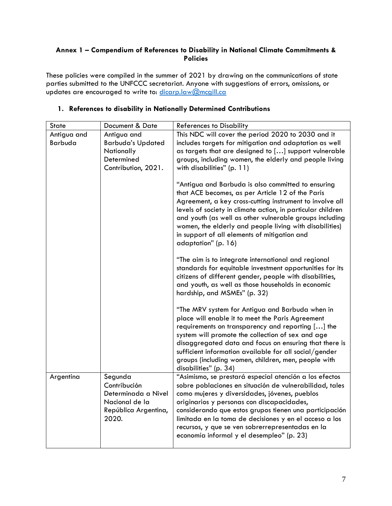## **Annex 1 – Compendium of References to Disability in National Climate Commitments & Policies**

These policies were compiled in the summer of 2021 by drawing on the communications of state parties submitted to the UNFCCC secretariat. Anyone with suggestions of errors, omissions, or updates are encouraged to write to: [dicarp.law@mcgill.ca](mailto:dicarp.law@mcgill.ca)

| <b>State</b>           | Document & Date                                                                                   | <b>References to Disability</b>                                                                                                                                                                                                                                                                                                                                                                                                       |
|------------------------|---------------------------------------------------------------------------------------------------|---------------------------------------------------------------------------------------------------------------------------------------------------------------------------------------------------------------------------------------------------------------------------------------------------------------------------------------------------------------------------------------------------------------------------------------|
| Antigua and<br>Barbuda | Antigua and<br><b>Barbuda's Updated</b><br>Nationally<br>Determined<br>Contribution, 2021.        | This NDC will cover the period 2020 to 2030 and it<br>includes targets for mitigation and adaptation as well<br>as targets that are designed to [] support vulnerable<br>groups, including women, the elderly and people living<br>with disabilities" (p. 11)                                                                                                                                                                         |
|                        |                                                                                                   | "Antigua and Barbuda is also committed to ensuring<br>that ACE becomes, as per Article 12 of the Paris<br>Agreement, a key cross-cutting instrument to involve all<br>levels of society in climate action, in particular children<br>and youth (as well as other vulnerable groups including<br>women, the elderly and people living with disabilities)<br>in support of all elements of mitigation and<br>adaptation" (p. 16)        |
|                        |                                                                                                   | "The aim is to integrate international and regional<br>standards for equitable investment opportunities for its<br>citizens of different gender, people with disabilities,<br>and youth, as well as those households in economic<br>hardship, and MSMEs" (p. 32)                                                                                                                                                                      |
|                        |                                                                                                   | "The MRV system for Antigua and Barbuda when in<br>place will enable it to meet the Paris Agreement<br>requirements on transparency and reporting [] the<br>system will promote the collection of sex and age<br>disaggregated data and focus on ensuring that there is<br>sufficient information available for all social/gender<br>groups (including women, children, men, people with<br>disabilities" (p. 34)                     |
| Argentina              | Segunda<br>Contribución<br>Determinada a Nivel<br>Nacional de la<br>República Argentina,<br>2020. | "Asimismo, se prestará especial atención a los efectos<br>sobre poblaciones en situación de vulnerabilidad, tales<br>como mujeres y diversidades, jóvenes, pueblos<br>originarios y personas con discapacidades,<br>considerando que estos grupos tienen una participación<br>limitada en la toma de decisiones y en el acceso a los<br>recursos, y que se ven sobrerrepresentadas en la<br>economía informal y el desempleo" (p. 23) |

### **1. References to disability in Nationally Determined Contributions**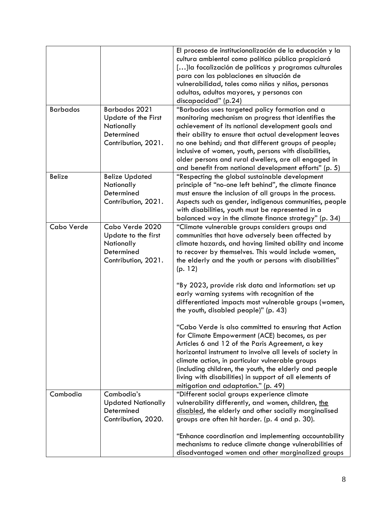|                 |                            | El proceso de institucionalización de la educación y la   |
|-----------------|----------------------------|-----------------------------------------------------------|
|                 |                            | cultura ambiental como política pública propiciará        |
|                 |                            | [] la focalización de políticas y programas culturales    |
|                 |                            | para con las poblaciones en situación de                  |
|                 |                            | vulnerabilidad, tales como niñas y niños, personas        |
|                 |                            | adultas, adultos mayores, y personas con                  |
|                 |                            | discapacidad" (p.24)                                      |
| <b>Barbados</b> | <b>Barbados 2021</b>       | "Barbados uses targeted policy formation and a            |
|                 | <b>Update of the First</b> | monitoring mechanism on progress that identifies the      |
|                 | Nationally                 | achievement of its national development goals and         |
|                 | Determined                 | their ability to ensure that actual development leaves    |
|                 | Contribution, 2021.        | no one behind; and that different groups of people;       |
|                 |                            | inclusive of women, youth, persons with disabilities,     |
|                 |                            | older persons and rural dwellers, are all engaged in      |
|                 |                            | and benefit from national development efforts" (p. 5)     |
| <b>Belize</b>   | <b>Belize Updated</b>      | "Respecting the global sustainable development            |
|                 | Nationally                 | principle of "no-one left behind", the climate finance    |
|                 | Determined                 | must ensure the inclusion of all groups in the process.   |
|                 | Contribution, 2021.        | Aspects such as gender, indigenous communities, people    |
|                 |                            | with disabilities, youth must be represented in a         |
|                 |                            | balanced way in the climate finance strategy" (p. 34)     |
| Cabo Verde      | Cabo Verde 2020            | "Climate vulnerable groups considers groups and           |
|                 | Update to the first        | communities that have adversely been affected by          |
|                 | Nationally                 | climate hazards, and having limited ability and income    |
|                 | Determined                 | to recover by themselves. This would include women,       |
|                 | Contribution, 2021.        | the elderly and the youth or persons with disabilities"   |
|                 |                            | (p. 12)                                                   |
|                 |                            |                                                           |
|                 |                            | "By 2023, provide risk data and information: set up       |
|                 |                            | early warning systems with recognition of the             |
|                 |                            | differentiated impacts most vulnerable groups (women,     |
|                 |                            | the youth, disabled people)" (p. 43)                      |
|                 |                            |                                                           |
|                 |                            | "Cabo Verde is also committed to ensuring that Action     |
|                 |                            | for Climate Empowerment (ACE) becomes, as per             |
|                 |                            | Articles 6 and 12 of the Paris Agreement, a key           |
|                 |                            | horizontal instrument to involve all levels of society in |
|                 |                            | climate action, in particular vulnerable groups           |
|                 |                            | (including children, the youth, the elderly and people    |
|                 |                            | living with disabilities) in support of all elements of   |
|                 |                            | mitigation and adaptation." (p. 49)                       |
| Cambodia        | Cambodia's                 | "Different social groups experience climate               |
|                 | <b>Updated Nationally</b>  | vulnerability differently, and women, children, the       |
|                 | Determined                 | disabled, the elderly and other socially marginalised     |
|                 | Contribution, 2020.        | groups are often hit harder. (p. 4 and p. 30).            |
|                 |                            |                                                           |
|                 |                            | "Enhance coordination and implementing accountability     |
|                 |                            |                                                           |
|                 |                            | mechanisms to reduce climate change vulnerabilities of    |
|                 |                            | disadvantaged women and other marginalized groups         |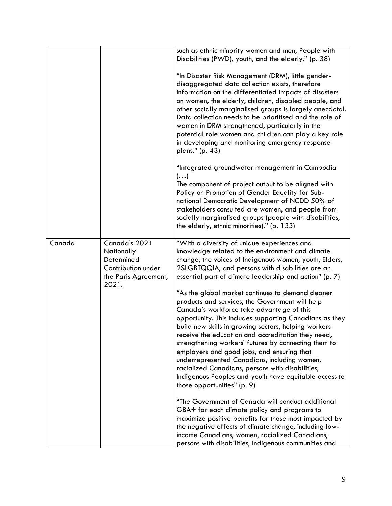|        |                                                                                                  | such as ethnic minority women and men, People with<br>Disabilities (PWD), youth, and the elderly." (p. 38)                                                                                                                                                                                                                                                                                                                                                                                                                                                                                                                   |
|--------|--------------------------------------------------------------------------------------------------|------------------------------------------------------------------------------------------------------------------------------------------------------------------------------------------------------------------------------------------------------------------------------------------------------------------------------------------------------------------------------------------------------------------------------------------------------------------------------------------------------------------------------------------------------------------------------------------------------------------------------|
|        |                                                                                                  | "In Disaster Risk Management (DRM), little gender-<br>disaggregated data collection exists, therefore<br>information on the differentiated impacts of disasters<br>on women, the elderly, children, disabled people, and<br>other socially marginalised groups is largely anecdotal.<br>Data collection needs to be prioritised and the role of<br>women in DRM strengthened, particularly in the<br>potential role women and children can play a key role<br>in developing and monitoring emergency response<br>plans." (p. 43)                                                                                             |
|        |                                                                                                  | "Integrated groundwater management in Cambodia<br>$\left(\ldots\right)$<br>The component of project output to be aligned with<br>Policy on Promotion of Gender Equality for Sub-<br>national Democratic Development of NCDD 50% of<br>stakeholders consulted are women, and people from<br>socially marginalised groups (people with disabilities,<br>the elderly, ethnic minorities)." (p. 133)                                                                                                                                                                                                                             |
| Canada | Canada's 2021<br>Nationally<br>Determined<br>Contribution under<br>the Paris Agreement,<br>2021. | "With a diversity of unique experiences and<br>knowledge related to the environment and climate<br>change, the voices of Indigenous women, youth, Elders,<br>2SLGBTQQIA, and persons with disabilities are an<br>essential part of climate leadership and action" (p. 7)                                                                                                                                                                                                                                                                                                                                                     |
|        |                                                                                                  | "As the global market continues to demand cleaner<br>products and services, the Government will help<br>Canada's workforce take advantage of this<br>opportunity. This includes supporting Canadians as they<br>build new skills in growing sectors, helping workers<br>receive the education and accreditation they need,<br>strengthening workers' futures by connecting them to<br>employers and good jobs, and ensuring that<br>underrepresented Canadians, including women,<br>racialized Canadians, persons with disabilities,<br>Indigenous Peoples and youth have equitable access to<br>those opportunities" (p. 9) |
|        |                                                                                                  | "The Government of Canada will conduct additional<br>GBA+ for each climate policy and programs to<br>maximize positive benefits for those most impacted by<br>the negative effects of climate change, including low-<br>income Canadians, women, racialized Canadians,<br>persons with disabilities, Indigenous communities and                                                                                                                                                                                                                                                                                              |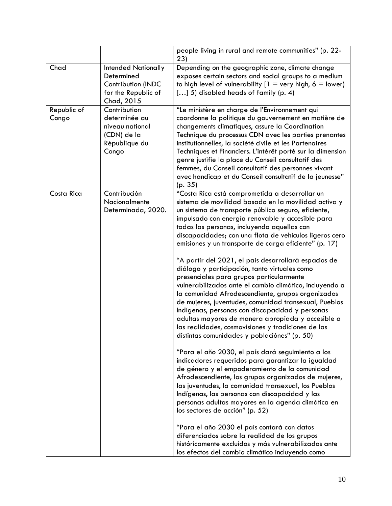|                      |                                                                                                            | people living in rural and remote communities" (p. 22-                                                                                                                                                                                                                                                                                                                                                                                                                                                                                                                                                                                                                                                                                                                                                                                                                                                                                                                                                                                                                                                                                                                                                                                                                                                                                                                                                                                                                                                                                                              |
|----------------------|------------------------------------------------------------------------------------------------------------|---------------------------------------------------------------------------------------------------------------------------------------------------------------------------------------------------------------------------------------------------------------------------------------------------------------------------------------------------------------------------------------------------------------------------------------------------------------------------------------------------------------------------------------------------------------------------------------------------------------------------------------------------------------------------------------------------------------------------------------------------------------------------------------------------------------------------------------------------------------------------------------------------------------------------------------------------------------------------------------------------------------------------------------------------------------------------------------------------------------------------------------------------------------------------------------------------------------------------------------------------------------------------------------------------------------------------------------------------------------------------------------------------------------------------------------------------------------------------------------------------------------------------------------------------------------------|
|                      |                                                                                                            | 23)                                                                                                                                                                                                                                                                                                                                                                                                                                                                                                                                                                                                                                                                                                                                                                                                                                                                                                                                                                                                                                                                                                                                                                                                                                                                                                                                                                                                                                                                                                                                                                 |
| Chad                 | <b>Intended Nationally</b><br>Determined<br><b>Contribution (INDC</b><br>for the Republic of<br>Chad, 2015 | Depending on the geographic zone, climate change<br>exposes certain sectors and social groups to a medium<br>to high level of vulnerability $[1 = \text{very high}, 6 = \text{lower}]$<br>[] 5) disabled heads of family (p. 4)                                                                                                                                                                                                                                                                                                                                                                                                                                                                                                                                                                                                                                                                                                                                                                                                                                                                                                                                                                                                                                                                                                                                                                                                                                                                                                                                     |
| Republic of<br>Congo | Contribution<br>determinée au<br>niveau national<br>(CDN) de la<br>République du<br>Congo                  | "Le ministère en charge de l'Environnement qui<br>coordonne la politique du gouvernement en matière de<br>changements climatiques, assure la Coordination<br>Technique du processus CDN avec les parties prenantes<br>institutionnelles, la société civile et les Partenaires<br>Techniques et Financiers. L'intérêt porté sur la dimension<br>genre justifie la place du Conseil consultatif des<br>femmes, du Conseil consultatif des personnes vivant<br>avec handicap et du Conseil consultatif de la jeunesse"<br>(p. 35)                                                                                                                                                                                                                                                                                                                                                                                                                                                                                                                                                                                                                                                                                                                                                                                                                                                                                                                                                                                                                                      |
| Costa Rica           | Contribución<br>Nacionalmente<br>Determinada, 2020.                                                        | "Costa Rica está comprometida a desarrollar un<br>sistema de movilidad basado en la movilidad activa y<br>un sistema de transporte público seguro, eficiente,<br>impulsado con energía renovable y accesible para<br>todas las personas, incluyendo aquellas con<br>discapacidades; con una flota de vehículos ligeros cero<br>emisiones y un transporte de carga eficiente" (p. 17)<br>"A partir del 2021, el país desarrollará espacios de<br>diálogo y participación, tanto virtuales como<br>presenciales para grupos particularmente<br>vulnerabilizados ante el cambio climático, incluyendo a<br>la comunidad Afrodescendiente, grupos organizados<br>de mujeres, juventudes, comunidad transexual, Pueblos<br>Indígenas, personas con discapacidad y personas<br>adultas mayores de manera apropiada y accesible a<br>las realidades, cosmovisiones y tradiciones de las<br>distintas comunidades y poblaciónes" (p. 50)<br>"Para el año 2030, el país dará seguimiento a los<br>indicadores requeridos para garantizar la igualdad<br>de género y el empoderamiento de la comunidad<br>Afrodescendiente, los grupos organizados de mujeres,<br>las juventudes, la comunidad transexual, los Pueblos<br>Indígenas, las personas con discapacidad y las<br>personas adultas mayores en la agenda climática en<br>los sectores de acción" (p. 52)<br>"Para el año 2030 el país contará con datos<br>diferenciados sobre la realidad de los grupos<br>históricamente excluidos y más vulnerabilizados ante<br>los efectos del cambio climático incluyendo como |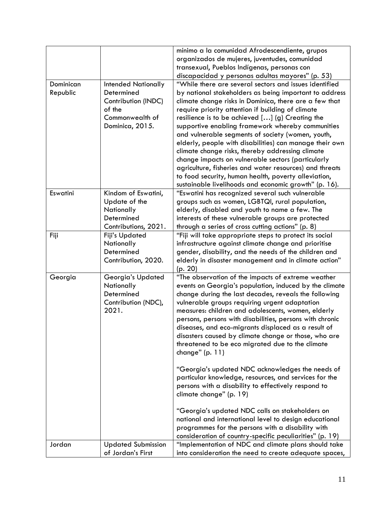|           |                            | mínimo a la comunidad Afrodescendiente, grupos           |
|-----------|----------------------------|----------------------------------------------------------|
|           |                            | organizados de mujeres, juventudes, comunidad            |
|           |                            | transexual, Pueblos Indígenas, personas con              |
|           |                            | discapacidad y personas adultas mayores" (p. 53)         |
| Dominican | <b>Intended Nationally</b> | "While there are several sectors and issues identified   |
| Republic  | Determined                 | by national stakeholders as being important to address   |
|           | Contribution (INDC)        | climate change risks in Dominica, there are a few that   |
|           | of the                     | require priority attention if building of climate        |
|           | Commonwealth of            | resilience is to be achieved [] (g) Creating the         |
|           | Dominica, 2015.            | supportive enabling framework whereby communities        |
|           |                            | and vulnerable segments of society (women, youth,        |
|           |                            | elderly, people with disabilities) can manage their own  |
|           |                            | climate change risks, thereby addressing climate         |
|           |                            | change impacts on vulnerable sectors (particularly       |
|           |                            | agriculture, fisheries and water resources) and threats  |
|           |                            | to food security, human health, poverty alleviation,     |
|           |                            | sustainable livelihoods and economic growth" (p. 16).    |
| Eswatini  | Kindom of Eswatini,        | "Eswatini has recognized several such vulnerable         |
|           | Update of the              | groups such as women, LGBTQI, rural population,          |
|           | Nationally                 | elderly, disabled and youth to name a few. The           |
|           | Determined                 | interests of these vulnerable groups are protected       |
|           | Contributions, 2021.       | through a series of cross cutting actions" (p. 8)        |
| Fiji      | <b>Fiji's Updated</b>      | "Fiji will take appropriate steps to protect its social  |
|           | Nationally                 | infrastructure against climate change and prioritise     |
|           | Determined                 | gender, disability, and the needs of the children and    |
|           | Contribution, 2020.        | elderly in disaster management and in climate action"    |
|           |                            | (p. 20)                                                  |
| Georgia   | Georgia's Updated          | "The observation of the impacts of extreme weather       |
|           | Nationally                 | events on Georgia's population, induced by the climate   |
|           | Determined                 | change during the last decades, reveals the following    |
|           | Contribution (NDC),        | vulnerable groups requiring urgent adaptation            |
|           | 2021.                      | measures: children and adolescents, women, elderly       |
|           |                            | persons, persons with disabilities, persons with chronic |
|           |                            | diseases, and eco-migrants displaced as a result of      |
|           |                            | disasters caused by climate change or those, who are     |
|           |                            | threatened to be eco migrated due to the climate         |
|           |                            | change" $(p. 11)$                                        |
|           |                            |                                                          |
|           |                            | "Georgia's updated NDC acknowledges the needs of         |
|           |                            | particular knowledge, resources, and services for the    |
|           |                            | persons with a disability to effectively respond to      |
|           |                            | climate change" (p. 19)                                  |
|           |                            |                                                          |
|           |                            | "Georgia's updated NDC calls on stakeholders on          |
|           |                            | national and international level to design educational   |
|           |                            | programmes for the persons with a disability with        |
|           |                            | consideration of country-specific peculiarities" (p. 19) |
| Jordan    | <b>Updated Submission</b>  | "Implementation of NDC and climate plans should take     |
|           | of Jordan's First          | into consideration the need to create adequate spaces,   |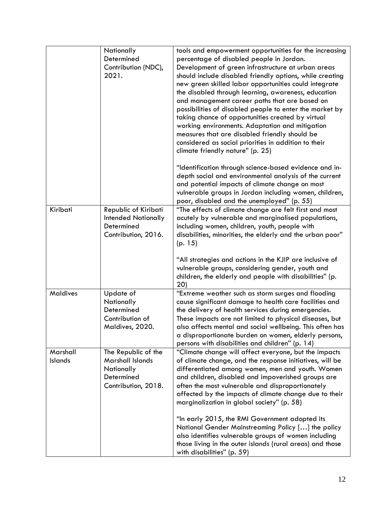|                            | Nationally<br>Determined<br>Contribution (NDC),<br>2021.                                   | tools and empowerment opportunities for the increasing<br>percentage of disabled people in Jordan.<br>Development of green infrastructure at urban areas<br>should include disabled friendly options, while creating<br>new green skilled labor opportunities could integrate<br>the disabled through learning, awareness, education<br>and management career paths that are based on<br>possibilities of disabled people to enter the market by<br>taking chance of opportunities created by virtual<br>working environments. Adaptation and mitigation<br>measures that are disabled friendly should be<br>considered as social priorities in addition to their<br>climate friendly nature" (p. 25) |
|----------------------------|--------------------------------------------------------------------------------------------|-------------------------------------------------------------------------------------------------------------------------------------------------------------------------------------------------------------------------------------------------------------------------------------------------------------------------------------------------------------------------------------------------------------------------------------------------------------------------------------------------------------------------------------------------------------------------------------------------------------------------------------------------------------------------------------------------------|
|                            |                                                                                            | "Identification through science-based evidence and in-<br>depth social and environmental analysis of the current<br>and potential impacts of climate change on most<br>vulnerable groups in Jordan including women, children,<br>poor, disabled and the unemployed" (p. 55)                                                                                                                                                                                                                                                                                                                                                                                                                           |
| Kiribati                   | Republic of Kiribati<br><b>Intended Nationally</b><br>Determined<br>Contribution, 2016.    | "The effects of climate change are felt first and most<br>acutely by vulnerable and marginalised populations,<br>including women, children, youth, people with<br>disabilities, minorities, the elderly and the urban poor"<br>(p. 15)                                                                                                                                                                                                                                                                                                                                                                                                                                                                |
|                            |                                                                                            | "All strategies and actions in the KJIP are inclusive of<br>vulnerable groups, considering gender, youth and<br>children, the elderly and people with disabilities" (p.<br>20)                                                                                                                                                                                                                                                                                                                                                                                                                                                                                                                        |
| <b>Maldives</b>            | Update of<br>Nationally<br>Determined<br>Contribution of<br>Maldives, 2020.                | "Extreme weather such as storm surges and flooding<br>cause significant damage to health care facilities and<br>the delivery of health services during emergencies.<br>These impacts are not limited to physical diseases, but<br>also affects mental and social wellbeing. This often has<br>a disproportionate burden on women, elderly persons,<br>persons with disabilities and children" (p. 14)                                                                                                                                                                                                                                                                                                 |
| Marshall<br><b>Islands</b> | The Republic of the<br>Marshall Islands<br>Nationally<br>Determined<br>Contribution, 2018. | "Climate change will affect everyone, but the impacts<br>of climate change, and the response initiatives, will be<br>differentiated among women, men and youth. Women<br>and children, disabled and impoverished groups are<br>often the most vulnerable and disproportionately<br>affected by the impacts of climate change due to their<br>marginalization in global society" (p. 58)                                                                                                                                                                                                                                                                                                               |
|                            |                                                                                            | "In early 2015, the RMI Government adopted its<br>National Gender Mainstreaming Policy [] the policy<br>also identifies vulnerable groups of women including<br>those living in the outer islands (rural areas) and those<br>with disabilities" (p. 59)                                                                                                                                                                                                                                                                                                                                                                                                                                               |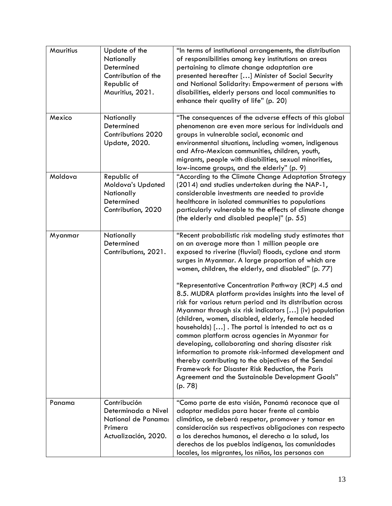| Mauritius | Update of the<br>Nationally<br>Determined<br>Contribution of the<br>Republic of<br>Mauritius, 2021. | "In terms of institutional arrangements, the distribution<br>of responsibilities among key institutions on areas<br>pertaining to climate change adaptation are<br>presented hereafter [] Minister of Social Security<br>and National Solidarity: Empowerment of persons with<br>disabilities, elderly persons and local communities to<br>enhance their quality of life" (p. 20)                                                                                                                                                                                                                                                                                                             |
|-----------|-----------------------------------------------------------------------------------------------------|-----------------------------------------------------------------------------------------------------------------------------------------------------------------------------------------------------------------------------------------------------------------------------------------------------------------------------------------------------------------------------------------------------------------------------------------------------------------------------------------------------------------------------------------------------------------------------------------------------------------------------------------------------------------------------------------------|
| Mexico    | Nationally<br>Determined<br><b>Contributions 2020</b><br>Update, 2020.                              | "The consequences of the adverse effects of this global<br>phenomenon are even more serious for individuals and<br>groups in vulnerable social, economic and<br>environmental situations, including women, indigenous<br>and Afro-Mexican communities, children, youth,<br>migrants, people with disabilities, sexual minorities,<br>low-income groups, and the elderly" (p. 9)                                                                                                                                                                                                                                                                                                               |
| Moldova   | Republic of<br>Moldova's Updated<br>Nationally<br>Determined<br>Contribution, 2020                  | "According to the Climate Change Adaptation Strategy<br>(2014) and studies undertaken during the NAP-1,<br>considerable investments are needed to provide<br>healthcare in isolated communities to populations<br>particularly vulnerable to the effects of climate change<br>(the elderly and disabled people)" (p. 55)                                                                                                                                                                                                                                                                                                                                                                      |
| Myanmar   | Nationally<br>Determined<br>Contributions, 2021.                                                    | "Recent probabilistic risk modeling study estimates that<br>on an average more than 1 million people are<br>exposed to riverine (fluvial) floods, cyclone and storm<br>surges in Myanmar. A large proportion of which are<br>women, children, the elderly, and disabled" (p. 77)                                                                                                                                                                                                                                                                                                                                                                                                              |
|           |                                                                                                     | "Representative Concentration Pathway (RCP) 4.5 and<br>8.5. MUDRA platform provides insights into the level of<br>risk for various return period and its distribution across<br>Myanmar through six risk indicators [] (iv) population<br>(children, women, disabled, elderly, female headed<br>households) []. The portal is intended to act as a<br>common platform across agencies in Myanmar for<br>developing, collaborating and sharing disaster risk<br>information to promote risk-informed development and<br>thereby contributing to the objectives of the Sendai<br>Framework for Disaster Risk Reduction, the Paris<br>Agreement and the Sustainable Development Goals"<br>(p.78) |
| Panama    | Contribución<br>Determinada a Nivel<br>National de Panama:<br>Primera<br>Actualización, 2020.       | "Como parte de esta visión, Panamá reconoce que al<br>adoptar medidas para hacer frente al cambio<br>climático, se deberá respetar, promover y tomar en<br>consideración sus respectivas obligaciones con respecto<br>a los derechos humanos, el derecho a la salud, los<br>derechos de los pueblos indígenas, las comunidades<br>locales, los migrantes, los niños, las personas con                                                                                                                                                                                                                                                                                                         |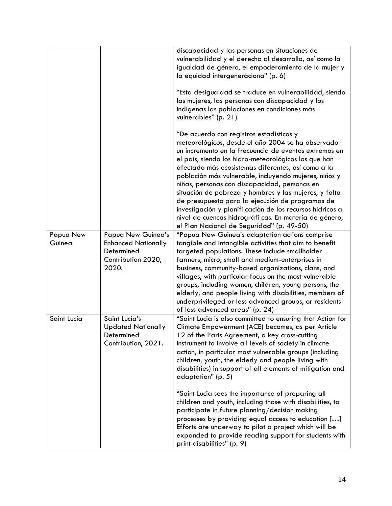|                     |                                                                                               | discapacidad y las personas en situaciones de<br>vulnerabilidad y el derecho al desarrollo, así como la<br>igualdad de género, el empoderamiento de la mujer y<br>la equidad intergeneraciona" (p. 6)                                                                                                                                                                                                                                                                                                                                                                                                                                                           |
|---------------------|-----------------------------------------------------------------------------------------------|-----------------------------------------------------------------------------------------------------------------------------------------------------------------------------------------------------------------------------------------------------------------------------------------------------------------------------------------------------------------------------------------------------------------------------------------------------------------------------------------------------------------------------------------------------------------------------------------------------------------------------------------------------------------|
|                     |                                                                                               | "Esta desigualdad se traduce en vulnerabilidad, siendo<br>las mujeres, las personas con discapacidad y los<br>indígenas las poblaciones en condiciones más<br>vulnerables" (p. 21)                                                                                                                                                                                                                                                                                                                                                                                                                                                                              |
|                     |                                                                                               | "De acuerdo con registros estadísticos y<br>meteorológicos, desde el año 2004 se ha observado<br>un incremento en la frecuencia de eventos extremos en<br>el país, siendo los hidro-meteorológicos los que han<br>afectado más ecosistemas diferentes, así como a la<br>población más vulnerable, incluyendo mujeres, niños y<br>niñas, personas con discapacidad, personas en<br>situación de pobreza y hombres y las mujeres, y falta<br>de presupuesto para la ejecución de programas de<br>investigación y planifi cación de los recursos hídricos a<br>nivel de cuencas hidrográfi cas. En materia de género,<br>el Plan Nacional de Seguridad" (p. 49-50) |
| Papua New<br>Guinea | Papua New Guinea's<br><b>Enhanced Nationally</b><br>Determined<br>Contribution 2020,<br>2020. | "Papua New Guinea's adaptation actions comprise<br>tangible and intangible activities that aim to benefit<br>targeted populations. These include smallholder<br>farmers, micro, small and medium-enterprises in<br>business, community-based organizations, clans, and<br>villages, with particular focus on the most vulnerable<br>groups, including women, children, young persons, the<br>elderly, and people living with disabilities, members of<br>underprivileged or less advanced groups, or residents<br>of less advanced areas" (p. 24)                                                                                                               |
| Saint Lucia         | Saint Lucia's<br><b>Updated Nationally</b><br>Determined<br>Contribution, 2021.               | "Saint Lucia is also committed to ensuring that Action for<br>Climate Empowerment (ACE) becomes, as per Article<br>12 of the Paris Agreement, a key cross-cutting<br>instrument to involve all levels of society in climate<br>action, in particular most vulnerable groups (including<br>children, youth, the elderly and people living with<br>disabilities) in support of all elements of mitigation and<br>adaptation" (p. 5)                                                                                                                                                                                                                               |
|                     |                                                                                               | "Saint Lucia sees the importance of preparing all<br>children and youth, including those with disabilities, to<br>participate in future planning/decision making<br>processes by providing equal access to education []<br>Efforts are underway to pilot a project which will be<br>expanded to provide reading support for students with<br>print disabilities" (p. 9)                                                                                                                                                                                                                                                                                         |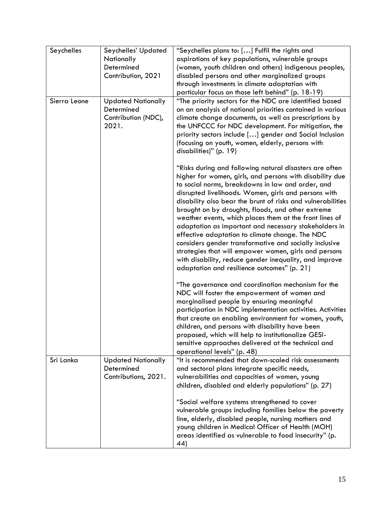| Seychelles   | Seychelles' Updated<br>Nationally<br>Determined<br>Contribution, 2021   | "Seychelles plans to: [] Fulfil the rights and<br>aspirations of key populations, vulnerable groups<br>(women, youth children and others) indigenous peoples,<br>disabled persons and other marginalized groups<br>through investments in climate adaptation with<br>particular focus on those left behind" (p. 18-19)                                                                                                                                                                                                                                                                                                                                                                                                                                  |
|--------------|-------------------------------------------------------------------------|---------------------------------------------------------------------------------------------------------------------------------------------------------------------------------------------------------------------------------------------------------------------------------------------------------------------------------------------------------------------------------------------------------------------------------------------------------------------------------------------------------------------------------------------------------------------------------------------------------------------------------------------------------------------------------------------------------------------------------------------------------|
| Sierra Leone | <b>Updated Nationally</b><br>Determined<br>Contribution (NDC),<br>2021. | "The priority sectors for the NDC are identified based<br>on an analysis of national priorities contained in various<br>climate change documents, as well as prescriptions by<br>the UNFCCC for NDC development. For mitigation, the<br>priority sectors include [] gender and Social Inclusion<br>(focusing on youth, women, elderly, persons with<br>disabilities)" (p. 19)                                                                                                                                                                                                                                                                                                                                                                           |
|              |                                                                         | "Risks during and following natural disasters are often<br>higher for women, girls, and persons with disability due<br>to social norms, breakdowns in law and order, and<br>disrupted livelihoods. Women, girls and persons with<br>disability also bear the brunt of risks and vulnerabilities<br>brought on by droughts, floods, and other extreme<br>weather events, which places them at the front lines of<br>adaptation as important and necessary stakeholders in<br>effective adaptation to climate change. The NDC<br>considers gender transformative and socially inclusive<br>strategies that will empower women, girls and persons<br>with disability, reduce gender inequality, and improve<br>adaptation and resilience outcomes" (p. 21) |
|              |                                                                         | "The governance and coordination mechanism for the<br>NDC will foster the empowerment of women and<br>marginalised people by ensuring meaningful<br>participation in NDC implementation activities. Activities<br>that create an enabling environment for women, youth,<br>children, and persons with disability have been<br>proposed, which will help to institutionalize GESI-<br>sensitive approaches delivered at the technical and<br>operational levels" (p. 48)                                                                                                                                                                                                                                                                                 |
| Sri Lanka    | <b>Updated Nationally</b><br>Determined<br>Contributions, 2021.         | "It is recommended that down-scaled risk assessments<br>and sectoral plans integrate specific needs,<br>vulnerabilities and capacities of women, young<br>children, disabled and elderly populations" (p. 27)                                                                                                                                                                                                                                                                                                                                                                                                                                                                                                                                           |
|              |                                                                         | "Social welfare systems strengthened to cover<br>vulnerable groups including families below the poverty<br>line, elderly, disabled people, nursing mothers and<br>young children in Medical Officer of Health (MOH)<br>areas identified as vulnerable to food insecurity" (p.<br>44)                                                                                                                                                                                                                                                                                                                                                                                                                                                                    |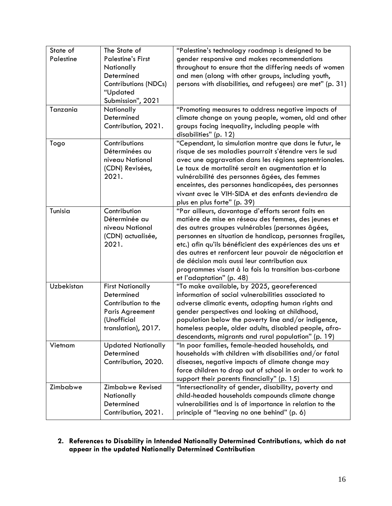| State of   | The State of                          | "Palestine's technology roadmap is designed to be                                                            |
|------------|---------------------------------------|--------------------------------------------------------------------------------------------------------------|
| Palestine  | <b>Palestine's First</b>              | gender responsive and makes recommendations                                                                  |
|            | Nationally                            | throughout to ensure that the differing needs of women                                                       |
|            | Determined                            | and men (along with other groups, including youth,                                                           |
|            | <b>Contributions (NDCs)</b>           | persons with disabilities, and refugees) are met" (p. 31)                                                    |
|            | "Updated                              |                                                                                                              |
|            | Submission", 2021                     |                                                                                                              |
| Tanzania   | Nationally                            | "Promoting measures to address negative impacts of                                                           |
|            | Determined                            | climate change on young people, women, old and other                                                         |
|            | Contribution, 2021.                   | groups facing inequality, including people with                                                              |
|            |                                       | disabilities" (p. 12)                                                                                        |
| Togo       | Contributions                         | "Cependant, la simulation montre que dans le futur, le                                                       |
|            | Déterminées au                        | risque de ses maladies pourrait s'étendre vers le sud                                                        |
|            | niveau National                       | avec une aggravation dans les régions septentrionales.                                                       |
|            | (CDN) Revisées,                       | Le taux de mortalité serait en augmentation et la                                                            |
|            | 2021.                                 | vulnérabilité des personnes âgées, des femmes                                                                |
|            |                                       | enceintes, des personnes handicapées, des personnes                                                          |
|            |                                       | vivant avec le VIH-SIDA et des enfants deviendra de                                                          |
|            |                                       | plus en plus forte" (p. 39)                                                                                  |
| Tunisia    | Contribution                          | "Par ailleurs, davantage d'efforts seront faits en                                                           |
|            | Déterminée au                         | matière de mise en réseau des femmes, des jeunes et                                                          |
|            | niveau National                       | des autres groupes vulnérables (personnes âgées,                                                             |
|            | (CDN) actualisée,                     | personnes en situation de handicap, personnes fragiles,                                                      |
|            | 2021.                                 | etc.) afin qu'ils bénéficient des expériences des uns et                                                     |
|            |                                       | des autres et renforcent leur pouvoir de négociation et                                                      |
|            |                                       | de décision mais aussi leur contribution aux                                                                 |
|            |                                       | programmes visant à la fois la transition bas-carbone                                                        |
|            |                                       | et l'adaptation" (p. 48)                                                                                     |
| Uzbekistan | <b>First Nationally</b>               | "To make available, by 2025, georeferenced<br>information of social vulnerabilities associated to            |
|            | Determined                            |                                                                                                              |
|            | Contribution to the                   | adverse climatic events, adopting human rights and                                                           |
|            | <b>Paris Agreement</b><br>(Unofficial | gender perspectives and looking at childhood,                                                                |
|            |                                       | population below the poverty line and/or indigence,                                                          |
|            | translation), 2017.                   | homeless people, older adults, disabled people, afro-<br>descendants, migrants and rural population" (p. 19) |
| Vietnam    | <b>Updated Nationally</b>             | "In poor families, female-headed households, and                                                             |
|            | Determined                            | households with children with disabilities and/or fatal                                                      |
|            | Contribution, 2020.                   | diseases, negative impacts of climate change may                                                             |
|            |                                       | force children to drop out of school in order to work to                                                     |
|            |                                       | support their parents financially" (p. 15)                                                                   |
| Zimbabwe   | Zimbabwe Revised                      | "Intersectionality of gender, disability, poverty and                                                        |
|            | Nationally                            | child-headed households compounds climate change                                                             |
|            | Determined                            | vulnerabilities and is of importance in relation to the                                                      |
|            | Contribution, 2021.                   | principle of "leaving no one behind" (p. 6)                                                                  |
|            |                                       |                                                                                                              |

## **2. References to Disability in Intended Nationally Determined Contributions, which do not appear in the updated Nationally Determined Contribution**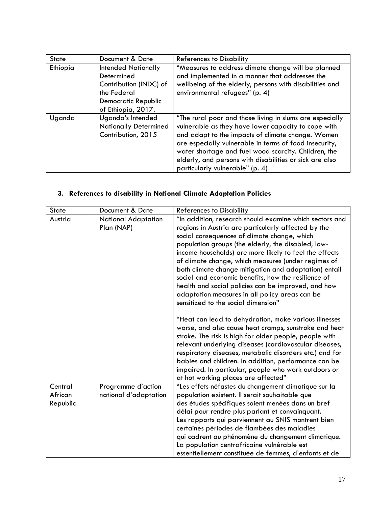| <b>State</b> | Document & Date                                                                                                                | <b>References to Disability</b>                                                                                                                                                                                                                                                                                                                                                      |
|--------------|--------------------------------------------------------------------------------------------------------------------------------|--------------------------------------------------------------------------------------------------------------------------------------------------------------------------------------------------------------------------------------------------------------------------------------------------------------------------------------------------------------------------------------|
| Ethiopia     | <b>Intended Nationally</b><br>Determined<br>Contribution (INDC) of<br>the Federal<br>Democratic Republic<br>of Ethiopia, 2017. | "Measures to address climate change will be planned<br>and implemented in a manner that addresses the<br>wellbeing of the elderly, persons with disabilities and<br>environmental refugees" (p. 4)                                                                                                                                                                                   |
| Uganda       | Uganda's Intended<br><b>Nationally Determined</b><br>Contribution, 2015                                                        | "The rural poor and those living in slums are especially<br>vulnerable as they have lower capacity to cope with<br>and adapt to the impacts of climate change. Women<br>are especially vulnerable in terms of food insecurity,<br>water shortage and fuel wood scarcity. Children, the<br>elderly, and persons with disabilities or sick are also<br>particularly vulnerable" (p. 4) |

## **3. References to disability in National Climate Adaptation Policies**

| <b>State</b> | Document & Date       | <b>References to Disability</b>                                                                                |
|--------------|-----------------------|----------------------------------------------------------------------------------------------------------------|
| Austria      | National Adaptation   | "In addition, research should examine which sectors and                                                        |
|              | Plan (NAP)            | regions in Austria are particularly affected by the                                                            |
|              |                       | social consequences of climate change, which                                                                   |
|              |                       | population groups (the elderly, the disabled, low-                                                             |
|              |                       | income households) are more likely to feel the effects                                                         |
|              |                       | of climate change, which measures (under regimes of                                                            |
|              |                       | both climate change mitigation and adaptation) entail                                                          |
|              |                       | social and economic benefits, how the resilience of                                                            |
|              |                       | health and social policies can be improved, and how                                                            |
|              |                       | adaptation measures in all policy areas can be                                                                 |
|              |                       | sensitized to the social dimension"                                                                            |
|              |                       |                                                                                                                |
|              |                       | "Heat can lead to dehydration, make various illnesses<br>worse, and also cause heat cramps, sunstroke and heat |
|              |                       | stroke. The risk is high for older people, people with                                                         |
|              |                       | relevant underlying diseases (cardiovascular diseases,                                                         |
|              |                       | respiratory diseases, metabolic disorders etc.) and for                                                        |
|              |                       | babies and children. In addition, performance can be                                                           |
|              |                       | impaired. In particular, people who work outdoors or                                                           |
|              |                       | at hot working places are affected"                                                                            |
| Central      | Programme d'action    | "Les effets néfastes du changement climatique sur la                                                           |
| African      | national d'adaptation | population existent. Il serait souhaitable que                                                                 |
| Republic     |                       | des études spécifiques soient menées dans un bref                                                              |
|              |                       | délai pour rendre plus parlant et convainquant.                                                                |
|              |                       | Les rapports qui parviennent au SNIS montrent bien                                                             |
|              |                       | certaines périodes de flambées des maladies                                                                    |
|              |                       | qui cadrent au phénomène du changement climatique.                                                             |
|              |                       | La population centrafricaine vulnérable est                                                                    |
|              |                       | essentiellement constituée de femmes, d'enfants et de                                                          |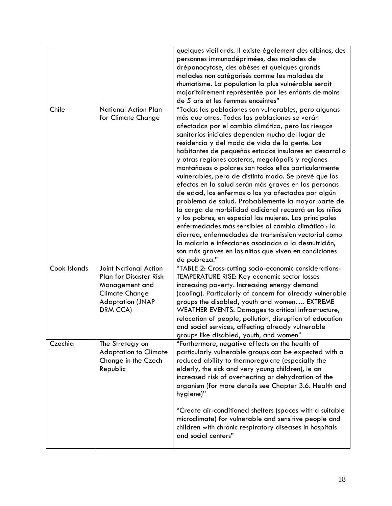|              |                               | quelques vieillards. Il existe également des albinos, des |
|--------------|-------------------------------|-----------------------------------------------------------|
|              |                               | personnes immunodéprimées, des malades de                 |
|              |                               | drépanocytose, des obèses et quelques grands              |
|              |                               | malades non catégorisés comme les malades de              |
|              |                               | rhumatisme. La population la plus vulnérable serait       |
|              |                               | majoritairement représentée par les enfants de moins      |
|              |                               | de 5 ans et les femmes enceintes"                         |
| Chile        | <b>National Action Plan</b>   | "Todas las poblaciones son vulnerables, pero algunas      |
|              | for Climate Change            | más que otras. Todas las poblaciones se verán             |
|              |                               | afectadas por el cambio climático, pero los riesgos       |
|              |                               | sanitarios iniciales dependen mucho del lugar de          |
|              |                               | residencia y del modo de vida de la gente. Los            |
|              |                               | habitantes de pequeños estados insulares en desarrollo    |
|              |                               | y otras regiones costeras, megalópolis y regiones         |
|              |                               | montañosas o polares son todos ellos particularmente      |
|              |                               | vulnerables, pero de distinto modo. Se prevé que los      |
|              |                               | efectos en la salud serán más graves en las personas      |
|              |                               | de edad, los enfermos o los ya afectados por algún        |
|              |                               | problema de salud. Probablemente la mayor parte de        |
|              |                               | la carga de morbilidad adicional recaerá en los niños     |
|              |                               | y los pobres, en especial las mujeres. Las principales    |
|              |                               | enfermedades más sensibles al cambio climático : la       |
|              |                               | diarrea, enfermedades de transmission vectorial como      |
|              |                               | la malaria e infecciones asociadas a la desnutrición,     |
|              |                               | son más graves en los niños que viven en condiciones      |
|              |                               | de pobreza."                                              |
| Cook Islands | <b>Joint National Action</b>  | "TABLE 2: Cross-cutting socio-economic considerations-    |
|              | <b>Plan for Disaster Risk</b> | TEMPERATURE RISE: Key economic sector losses              |
|              | Management and                | increasing poverty. Increasing energy demand              |
|              | <b>Climate Change</b>         | (cooling). Particularly of concern for already vulnerable |
|              | <b>Adaptation (JNAP</b>       | groups the disabled, youth and women EXTREME              |
|              | DRM CCA)                      | WEATHER EVENTS: Damages to critical infrastructure,       |
|              |                               | relocation of people, pollution, disruption of education  |
|              |                               | and social services, affecting already vulnerable         |
|              |                               | groups like disabled, youth, and women"                   |
| Czechia      | The Strategy on               | "Furthermore, negative effects on the health of           |
|              | <b>Adaptation to Climate</b>  | particularly vulnerable groups can be expected with a     |
|              | Change in the Czech           | reduced ability to thermoregulate (especially the         |
|              | Republic                      | elderly, the sick and very young children), ie an         |
|              |                               | increased risk of overheating or dehydration of the       |
|              |                               | organism (for more details see Chapter 3.6. Health and    |
|              |                               | hygiene)"                                                 |
|              |                               |                                                           |
|              |                               | "Create air-conditioned shelters (spaces with a suitable  |
|              |                               | microclimate) for vulnerable and sensitive people and     |
|              |                               | children with chronic respiratory diseases in hospitals   |
|              |                               | and social centers"                                       |
|              |                               |                                                           |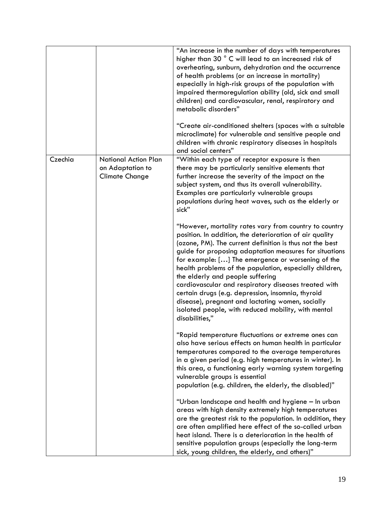|         |                                                                          | "An increase in the number of days with temperatures<br>higher than 30 ° C will lead to an increased risk of<br>overheating, sunburn, dehydration and the occurrence<br>of health problems (or an increase in mortality)<br>especially in high-risk groups of the population with<br>impaired thermoregulation ability (old, sick and small<br>children) and cardiovascular, renal, respiratory and<br>metabolic disorders"                                                                                                                                                                                                           |
|---------|--------------------------------------------------------------------------|---------------------------------------------------------------------------------------------------------------------------------------------------------------------------------------------------------------------------------------------------------------------------------------------------------------------------------------------------------------------------------------------------------------------------------------------------------------------------------------------------------------------------------------------------------------------------------------------------------------------------------------|
|         |                                                                          | "Create air-conditioned shelters (spaces with a suitable<br>microclimate) for vulnerable and sensitive people and<br>children with chronic respiratory diseases in hospitals<br>and social centers"                                                                                                                                                                                                                                                                                                                                                                                                                                   |
| Czechia | <b>National Action Plan</b><br>on Adaptation to<br><b>Climate Change</b> | "Within each type of receptor exposure is then<br>there may be particularly sensitive elements that<br>further increase the severity of the impact on the<br>subject system, and thus its overall vulnerability.<br>Examples are particularly vulnerable groups<br>populations during heat waves, such as the elderly or<br>sick"                                                                                                                                                                                                                                                                                                     |
|         |                                                                          | "However, mortality rates vary from country to country<br>position. In addition, the deterioration of air quality<br>(ozone, PM). The current definition is thus not the best<br>guide for proposing adaptation measures for situations<br>for example: [] The emergence or worsening of the<br>health problems of the population, especially children,<br>the elderly and people suffering<br>cardiovascular and respiratory diseases treated with<br>certain drugs (e.g. depression, insomnia, thyroid<br>disease), pregnant and lactating women, socially<br>isolated people, with reduced mobility, with mental<br>disabilities," |
|         |                                                                          | "Rapid temperature fluctuations or extreme ones can<br>also have serious effects on human health in particular<br>temperatures compared to the average temperatures<br>in a given period (e.g. high temperatures in winter). In<br>this area, a functioning early warning system targeting<br>vulnerable groups is essential<br>population (e.g. children, the elderly, the disabled)"                                                                                                                                                                                                                                                |
|         |                                                                          | "Urban landscape and health and hygiene - In urban<br>areas with high density extremely high temperatures<br>are the greatest risk to the population. In addition, they<br>are often amplified here effect of the so-called urban<br>heat island. There is a deterioration in the health of<br>sensitive population groups (especially the long-term<br>sick, young children, the elderly, and others)"                                                                                                                                                                                                                               |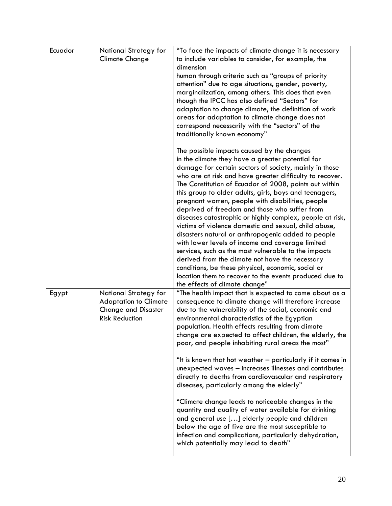| Ecuador | National Strategy for<br><b>Climate Change</b>                                                               | "To face the impacts of climate change it is necessary<br>to include variables to consider, for example, the<br>dimension<br>human through criteria such as "groups of priority<br>attention" due to age situations, gender, poverty,<br>marginalization, among others. This does that even<br>though the IPCC has also defined "Sectors" for<br>adaptation to change climate, the definition of work<br>areas for adaptation to climate change does not<br>correspond necessarily with the "sectors" of the<br>traditionally known economy"                                                                                                                                                                                                                                                                                                                                                                                                          |
|---------|--------------------------------------------------------------------------------------------------------------|-------------------------------------------------------------------------------------------------------------------------------------------------------------------------------------------------------------------------------------------------------------------------------------------------------------------------------------------------------------------------------------------------------------------------------------------------------------------------------------------------------------------------------------------------------------------------------------------------------------------------------------------------------------------------------------------------------------------------------------------------------------------------------------------------------------------------------------------------------------------------------------------------------------------------------------------------------|
|         |                                                                                                              | The possible impacts caused by the changes<br>in the climate they have a greater potential for<br>damage for certain sectors of society, mainly in those<br>who are at risk and have greater difficulty to recover.<br>The Constitution of Ecuador of 2008, points out within<br>this group to older adults, girls, boys and teenagers,<br>pregnant women, people with disabilities, people<br>deprived of freedom and those who suffer from<br>diseases catastrophic or highly complex, people at risk,<br>victims of violence domestic and sexual, child abuse,<br>disasters natural or anthropogenic added to people<br>with lower levels of income and coverage limited<br>services, such as the most vulnerable to the impacts<br>derived from the climate not have the necessary<br>conditions, be these physical, economic, social or<br>location them to recover to the events produced due to<br>the effects of climate change"              |
| Egypt   | National Strategy for<br><b>Adaptation to Climate</b><br><b>Change and Disaster</b><br><b>Risk Reduction</b> | "The health impact that is expected to come about as a<br>consequence to climate change will therefore increase<br>due to the vulnerability of the social, economic and<br>environmental characteristics of the Egyptian<br>population. Health effects resulting from climate<br>change are expected to affect children, the elderly, the<br>poor, and people inhabiting rural areas the most"<br>"It is known that hot weather - particularly if it comes in<br>unexpected waves - increases illnesses and contributes<br>directly to deaths from cardiovascular and respiratory<br>diseases, particularly among the elderly"<br>"Climate change leads to noticeable changes in the<br>quantity and quality of water available for drinking<br>and general use [] elderly people and children<br>below the age of five are the most susceptible to<br>infection and complications, particularly dehydration,<br>which potentially may lead to death" |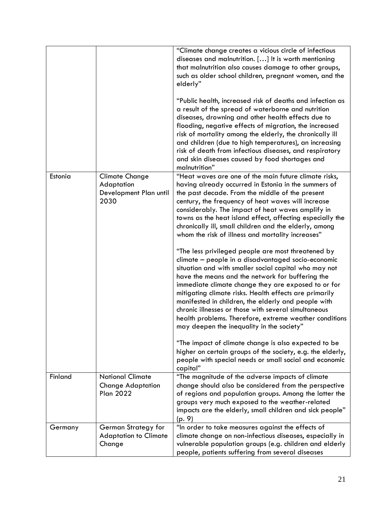|         |                                                                         | "Climate change creates a vicious circle of infectious<br>diseases and malnutrition. [] It is worth mentioning<br>that malnutrition also causes damage to other groups,<br>such as older school children, pregnant women, and the<br>elderly"                                                                                                                                                                                                                                                                                                                |
|---------|-------------------------------------------------------------------------|--------------------------------------------------------------------------------------------------------------------------------------------------------------------------------------------------------------------------------------------------------------------------------------------------------------------------------------------------------------------------------------------------------------------------------------------------------------------------------------------------------------------------------------------------------------|
|         |                                                                         | "Public health, increased risk of deaths and infection as<br>a result of the spread of waterborne and nutrition<br>diseases, drowning and other health effects due to<br>flooding, negative effects of migration, the increased<br>risk of mortality among the elderly, the chronically ill<br>and children (due to high temperatures), an increasing<br>risk of death from infectious diseases, and respiratory<br>and skin diseases caused by food shortages and<br>malnutrition"                                                                          |
| Estonia | <b>Climate Change</b><br>Adaptation<br>Development Plan until<br>2030   | "Heat waves are one of the main future climate risks,<br>having already occurred in Estonia in the summers of<br>the past decade. From the middle of the present<br>century, the frequency of heat waves will increase<br>considerably. The impact of heat waves amplify in<br>towns as the heat island effect, affecting especially the<br>chronically ill, small children and the elderly, among<br>whom the risk of illness and mortality increases"                                                                                                      |
|         |                                                                         | "The less privileged people are most threatened by<br>climate - people in a disadvantaged socio-economic<br>situation and with smaller social capital who may not<br>have the means and the network for buffering the<br>immediate climate change they are exposed to or for<br>mitigating climate risks. Health effects are primarily<br>manifested in children, the elderly and people with<br>chronic illnesses or those with several simultaneous<br>health problems. Therefore, extreme weather conditions<br>may deepen the inequality in the society" |
|         |                                                                         | "The impact of climate change is also expected to be<br>higher on certain groups of the society, e.g. the elderly,<br>people with special needs or small social and economic<br>capital"                                                                                                                                                                                                                                                                                                                                                                     |
| Finland | <b>National Climate</b><br><b>Change Adaptation</b><br><b>Plan 2022</b> | "The magnitude of the adverse impacts of climate<br>change should also be considered from the perspective<br>of regions and population groups. Among the latter the<br>groups very much exposed to the weather-related<br>impacts are the elderly, small children and sick people"<br>(p. 9)                                                                                                                                                                                                                                                                 |
| Germany | German Strategy for<br><b>Adaptation to Climate</b><br>Change           | "In order to take measures against the effects of<br>climate change on non-infectious diseases, especially in<br>vulnerable population groups (e.g. children and elderly<br>people, patients suffering from several diseases                                                                                                                                                                                                                                                                                                                                 |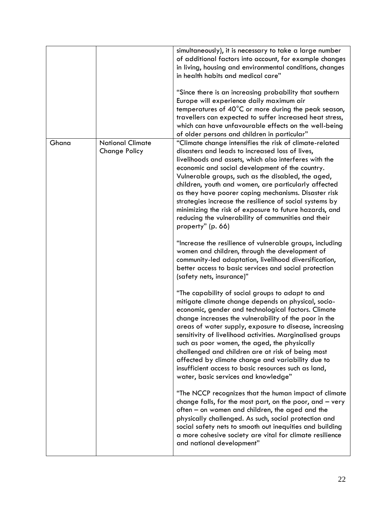|       |                                                 | simultaneously), it is necessary to take a large number<br>of additional factors into account, for example changes<br>in living, housing and environmental conditions, changes<br>in health habits and medical care"<br>"Since there is an increasing probability that southern<br>Europe will experience daily maximum air<br>temperatures of $40^{\circ}$ C or more during the peak season,<br>travellers can expected to suffer increased heat stress,<br>which can have unfavourable effects on the well-being<br>of older persons and children in particular"                                                                                         |
|-------|-------------------------------------------------|------------------------------------------------------------------------------------------------------------------------------------------------------------------------------------------------------------------------------------------------------------------------------------------------------------------------------------------------------------------------------------------------------------------------------------------------------------------------------------------------------------------------------------------------------------------------------------------------------------------------------------------------------------|
| Ghana | <b>National Climate</b><br><b>Change Policy</b> | "Climate change intensifies the risk of climate-related<br>disasters and leads to increased loss of lives,<br>livelihoods and assets, which also interferes with the<br>economic and social development of the country.<br>Vulnerable groups, such as the disabled, the aged,<br>children, youth and women, are particularly affected<br>as they have poorer coping mechanisms. Disaster risk<br>strategies increase the resilience of social systems by<br>minimizing the risk of exposure to future hazards, and<br>reducing the vulnerability of communities and their<br>property" (p. 66)<br>"Increase the resilience of vulnerable groups, including |
|       |                                                 | women and children, through the development of<br>community-led adaptation, livelihood diversification,<br>better access to basic services and social protection<br>(safety nets, insurance)"                                                                                                                                                                                                                                                                                                                                                                                                                                                              |
|       |                                                 | "The capability of social groups to adapt to and<br>mitigate climate change depends on physical, socio-<br>economic, gender and technological factors. Climate<br>change increases the vulnerability of the poor in the<br>areas of water supply, exposure to disease, increasing<br>sensitivity of livelihood activities. Marginalised groups<br>such as poor women, the aged, the physically<br>challenged and children are at risk of being most<br>affected by climate change and variability due to<br>insufficient access to basic resources such as land,<br>water, basic services and knowledge"                                                   |
|       |                                                 | "The NCCP recognizes that the human impact of climate<br>change falls, for the most part, on the poor, and $-$ very<br>often - on women and children, the aged and the<br>physically challenged. As such, social protection and<br>social safety nets to smooth out inequities and building<br>a more cohesive society are vital for climate resilience<br>and national development"                                                                                                                                                                                                                                                                       |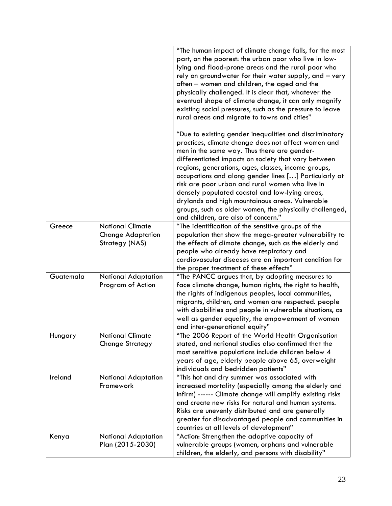|           |                                                                       | "The human impact of climate change falls, for the most<br>part, on the poorest: the urban poor who live in low-<br>lying and flood-prone areas and the rural poor who<br>rely on groundwater for their water supply, and - very<br>often – women and children, the aged and the<br>physically challenged. It is clear that, whatever the<br>eventual shape of climate change, it can only magnify<br>existing social pressures, such as the pressure to leave<br>rural areas and migrate to towns and cities"                                                                                 |
|-----------|-----------------------------------------------------------------------|------------------------------------------------------------------------------------------------------------------------------------------------------------------------------------------------------------------------------------------------------------------------------------------------------------------------------------------------------------------------------------------------------------------------------------------------------------------------------------------------------------------------------------------------------------------------------------------------|
|           |                                                                       | "Due to existing gender inequalities and discriminatory<br>practices, climate change does not affect women and<br>men in the same way. Thus there are gender-<br>differentiated impacts on society that vary between<br>regions, generations, ages, classes, income groups,<br>occupations and along gender lines [] Particularly at<br>risk are poor urban and rural women who live in<br>densely populated coastal and low-lying areas,<br>drylands and high mountainous areas. Vulnerable<br>groups, such as older women, the physically challenged,<br>and children, are also of concern." |
| Greece    | <b>National Climate</b><br><b>Change Adaptation</b><br>Strategy (NAS) | "The identification of the sensitive groups of the<br>population that show the mega-greater vulnerability to<br>the effects of climate change, such as the elderly and<br>people who already have respiratory and<br>cardiovascular diseases are an important condition for<br>the proper treatment of these effects"                                                                                                                                                                                                                                                                          |
| Guatemala | National Adaptation<br>Program of Action                              | "The PANCC argues that, by adopting measures to<br>face climate change, human rights, the right to health,<br>the rights of indigenous peoples, local communities,<br>migrants, children, and women are respected. people<br>with disabilities and people in vulnerable situations, as<br>well as gender equality, the empowerment of women<br>and inter-generational equity"                                                                                                                                                                                                                  |
| Hungary   | <b>National Climate</b><br><b>Change Strategy</b>                     | "The 2006 Report of the World Health Organisation<br>stated, and national studies also confirmed that the<br>most sensitive populations include children below 4<br>years of age, elderly people above 65, overweight<br>individuals and bedridden patients"                                                                                                                                                                                                                                                                                                                                   |
| Ireland   | National Adaptation<br>Framework                                      | "This hot and dry summer was associated with<br>increased mortality (especially among the elderly and<br>infirm) ------ Climate change will amplify existing risks<br>and create new risks for natural and human systems.<br>Risks are unevenly distributed and are generally<br>greater for disadvantaged people and communities in<br>countries at all levels of development"                                                                                                                                                                                                                |
| Kenya     | <b>National Adaptation</b><br>Plan (2015-2030)                        | "Action: Strengthen the adaptive capacity of<br>vulnerable groups (women, orphans and vulnerable<br>children, the elderly, and persons with disability"                                                                                                                                                                                                                                                                                                                                                                                                                                        |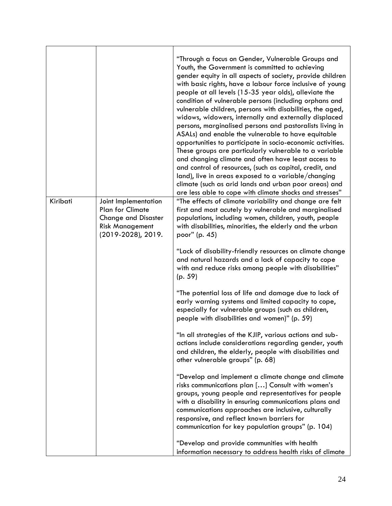|          |                                                                                                                               | "Through a focus on Gender, Vulnerable Groups and<br>Youth, the Government is committed to achieving<br>gender equity in all aspects of society, provide children<br>with basic rights, have a labour force inclusive of young<br>people at all levels (15-35 year olds), alleviate the<br>condition of vulnerable persons (including orphans and<br>vulnerable children, persons with disabilities, the aged,<br>widows, widowers, internally and externally displaced<br>persons, marginalised persons and pastoralists living in<br>ASALs) and enable the vulnerable to have equitable<br>opportunities to participate in socio-economic activities.<br>These groups are particularly vulnerable to a variable<br>and changing climate and often have least access to<br>and control of resources, (such as capital, credit, and<br>land), live in areas exposed to a variable/changing<br>climate (such as arid lands and urban poor areas) and<br>are less able to cope with climate shocks and stresses" |
|----------|-------------------------------------------------------------------------------------------------------------------------------|----------------------------------------------------------------------------------------------------------------------------------------------------------------------------------------------------------------------------------------------------------------------------------------------------------------------------------------------------------------------------------------------------------------------------------------------------------------------------------------------------------------------------------------------------------------------------------------------------------------------------------------------------------------------------------------------------------------------------------------------------------------------------------------------------------------------------------------------------------------------------------------------------------------------------------------------------------------------------------------------------------------|
| Kiribati | Joint Implementation<br><b>Plan for Climate</b><br><b>Change and Disaster</b><br><b>Risk Management</b><br>(2019-2028), 2019. | "The effects of climate variability and change are felt<br>first and most acutely by vulnerable and marginalised<br>populations, including women, children, youth, people<br>with disabilities, minorities, the elderly and the urban<br>poor" (p. 45)                                                                                                                                                                                                                                                                                                                                                                                                                                                                                                                                                                                                                                                                                                                                                         |
|          |                                                                                                                               | "Lack of disability-friendly resources on climate change<br>and natural hazards and a lack of capacity to cope<br>with and reduce risks among people with disabilities"<br>(p. 59)                                                                                                                                                                                                                                                                                                                                                                                                                                                                                                                                                                                                                                                                                                                                                                                                                             |
|          |                                                                                                                               | "The potential loss of life and damage due to lack of<br>early warning systems and limited capacity to cope,<br>especially for vulnerable groups (such as children,<br>people with disabilities and women)" (p. 59)                                                                                                                                                                                                                                                                                                                                                                                                                                                                                                                                                                                                                                                                                                                                                                                            |
|          |                                                                                                                               | "In all strategies of the KJIP, various actions and sub-<br>actions include considerations regarding gender, youth<br>and children, the elderly, people with disabilities and<br>other vulnerable groups" (p. 68)                                                                                                                                                                                                                                                                                                                                                                                                                                                                                                                                                                                                                                                                                                                                                                                              |
|          |                                                                                                                               | "Develop and implement a climate change and climate<br>risks communications plan [] Consult with women's<br>groups, young people and representatives for people<br>with a disability in ensuring communications plans and<br>communications approaches are inclusive, culturally<br>responsive, and reflect known barriers for<br>communication for key population groups" (p. 104)                                                                                                                                                                                                                                                                                                                                                                                                                                                                                                                                                                                                                            |
|          |                                                                                                                               | "Develop and provide communities with health<br>information necessary to address health risks of climate                                                                                                                                                                                                                                                                                                                                                                                                                                                                                                                                                                                                                                                                                                                                                                                                                                                                                                       |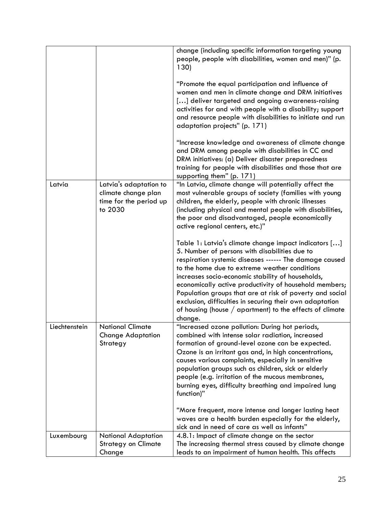|               |                                                                                    | change (including specific information targeting young<br>people, people with disabilities, women and men)" (p.<br>130)<br>"Promote the equal participation and influence of<br>women and men in climate change and DRM initiatives<br>[] deliver targeted and ongoing awareness-raising<br>activities for and with people with a disability; support<br>and resource people with disabilities to initiate and run<br>adaptation projects" (p. 171)<br>"Increase knowledge and awareness of climate change<br>and DRM among people with disabilities in CC and<br>DRM initiatives: (a) Deliver disaster preparedness |
|---------------|------------------------------------------------------------------------------------|----------------------------------------------------------------------------------------------------------------------------------------------------------------------------------------------------------------------------------------------------------------------------------------------------------------------------------------------------------------------------------------------------------------------------------------------------------------------------------------------------------------------------------------------------------------------------------------------------------------------|
|               |                                                                                    | training for people with disabilities and those that are<br>supporting them" (p. 171)                                                                                                                                                                                                                                                                                                                                                                                                                                                                                                                                |
| Latvia        | Latvia's adaptation to<br>climate change plan<br>time for the period up<br>to 2030 | "In Latvia, climate change will potentially affect the<br>most vulnerable groups of society (families with young<br>children, the elderly, people with chronic illnesses<br>(including physical and mental people with disabilities,<br>the poor and disadvantaged, people economically<br>active regional centers, etc.)"                                                                                                                                                                                                                                                                                           |
|               |                                                                                    | Table 1: Latvia's climate change impact indicators []<br>5. Number of persons with disabilities due to<br>respiration systemic diseases ------ The damage caused<br>to the home due to extreme weather conditions<br>increases socio-economic stability of households,<br>economically active productivity of household members;<br>Population groups that are at risk of poverty and social<br>exclusion, difficulties in securing their own adaptation<br>of housing (house $/$ apartment) to the effects of climate<br>change.                                                                                    |
| Liechtenstein | <b>National Climate</b><br><b>Change Adaptation</b><br>Strategy                    | "Increased ozone pollution: During hot periods,<br>combined with intense solar radiation, increased<br>formation of ground-level ozone can be expected.<br>Ozone is an irritant gas and, in high concentrations,<br>causes various complaints, especially in sensitive<br>population groups such as children, sick or elderly<br>people (e.g. irritation of the mucous membranes,<br>burning eyes, difficulty breathing and impaired lung<br>function)"<br>"More frequent, more intense and longer lasting heat                                                                                                      |
|               |                                                                                    | waves are a health burden especially for the elderly,<br>sick and in need of care as well as infants"                                                                                                                                                                                                                                                                                                                                                                                                                                                                                                                |
| Luxembourg    | National Adaptation<br><b>Strategy on Climate</b><br>Change                        | 4.8.1: Impact of climate change on the sector<br>The increasing thermal stress caused by climate change<br>leads to an impairment of human health. This affects                                                                                                                                                                                                                                                                                                                                                                                                                                                      |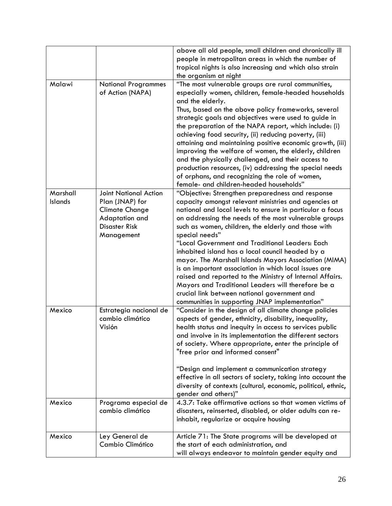|                            |                                         | above all old people, small children and chronically ill                                                           |
|----------------------------|-----------------------------------------|--------------------------------------------------------------------------------------------------------------------|
|                            |                                         | people in metropolitan areas in which the number of                                                                |
|                            |                                         | tropical nights is also increasing and which also strain                                                           |
|                            |                                         | the organism at night                                                                                              |
| Malawi                     | <b>National Programmes</b>              | "The most vulnerable groups are rural communities,                                                                 |
|                            | of Action (NAPA)                        | especially women, children, female-headed households                                                               |
|                            |                                         | and the elderly.                                                                                                   |
|                            |                                         | Thus, based on the above policy frameworks, several                                                                |
|                            |                                         | strategic goals and objectives were used to guide in                                                               |
|                            |                                         | the preparation of the NAPA report, which include: (i)                                                             |
|                            |                                         | achieving food security, (ii) reducing poverty, (iii)                                                              |
|                            |                                         | attaining and maintaining positive economic growth, (iii)                                                          |
|                            |                                         | improving the welfare of women, the elderly, children                                                              |
|                            |                                         | and the physically challenged, and their access to                                                                 |
|                            |                                         | production resources, (iv) addressing the special needs                                                            |
|                            |                                         | of orphans, and recognizing the role of women,                                                                     |
|                            |                                         | female- and children-headed households"                                                                            |
| Marshall<br><b>Islands</b> | <b>Joint National Action</b>            | "Objective: Strengthen preparedness and response                                                                   |
|                            | Plan (JNAP) for                         | capacity amongst relevant ministries and agencies at                                                               |
|                            | <b>Climate Change</b><br>Adaptation and | national and local levels to ensure in particular a focus<br>on addressing the needs of the most vulnerable groups |
|                            | <b>Disaster Risk</b>                    | such as women, children, the elderly and those with                                                                |
|                            | Management                              | special needs"                                                                                                     |
|                            |                                         | "Local Government and Traditional Leaders: Each                                                                    |
|                            |                                         | inhabited island has a local council headed by a                                                                   |
|                            |                                         | mayor. The Marshall Islands Mayors Association (MIMA)                                                              |
|                            |                                         | is an important association in which local issues are                                                              |
|                            |                                         | raised and reported to the Ministry of Internal Affairs.                                                           |
|                            |                                         | Mayors and Traditional Leaders will therefore be a                                                                 |
|                            |                                         | crucial link between national government and                                                                       |
|                            |                                         | communities in supporting JNAP implementation"                                                                     |
| Mexico                     | Estrategia nacional de                  | "Consider in the design of all climate change policies                                                             |
|                            | cambio climático                        | aspects of gender, ethnicity, disability, inequality,                                                              |
|                            | Visión                                  | health status and inequity in access to services public                                                            |
|                            |                                         | and involve in its implementation the different sectors                                                            |
|                            |                                         | of society. Where appropriate, enter the principle of                                                              |
|                            |                                         | "free prior and informed consent"                                                                                  |
|                            |                                         | "Design and implement a communication strategy                                                                     |
|                            |                                         | effective in all sectors of society, taking into account the                                                       |
|                            |                                         | diversity of contexts (cultural, economic, political, ethnic,                                                      |
|                            |                                         | gender and others)"                                                                                                |
| Mexico                     | Programa especial de                    | 4.3.7: Take affirmative actions so that women victims of                                                           |
|                            | cambio climático                        | disasters, reinserted, disabled, or older adults can re-                                                           |
|                            |                                         | inhabit, regularize or acquire housing                                                                             |
| Mexico                     | Ley General de                          | Article 71: The State programs will be developed at                                                                |
|                            | Cambio Climático                        | the start of each administration, and                                                                              |
|                            |                                         | will always endeavor to maintain gender equity and                                                                 |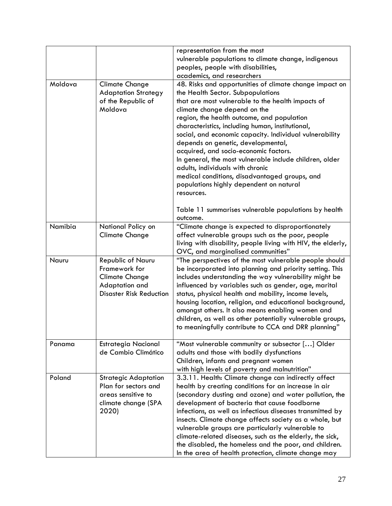|         |                                | representation from the most                                 |
|---------|--------------------------------|--------------------------------------------------------------|
|         |                                | vulnerable populations to climate change, indigenous         |
|         |                                | peoples, people with disabilities,                           |
|         |                                | academics, and researchers                                   |
| Moldova | <b>Climate Change</b>          | 48. Risks and opportunities of climate change impact on      |
|         | <b>Adaptation Strategy</b>     | the Health Sector. Subpopulations                            |
|         | of the Republic of             | that are most vulnerable to the health impacts of            |
|         | Moldova                        | climate change depend on the                                 |
|         |                                | region, the health outcome, and population                   |
|         |                                | characteristics, including human, institutional,             |
|         |                                | social, and economic capacity. Individual vulnerability      |
|         |                                | depends on genetic, developmental,                           |
|         |                                | acquired, and socio-economic factors.                        |
|         |                                | In general, the most vulnerable include children, older      |
|         |                                | adults, individuals with chronic                             |
|         |                                | medical conditions, disadvantaged groups, and                |
|         |                                | populations highly dependent on natural                      |
|         |                                | resources.                                                   |
|         |                                |                                                              |
|         |                                | Table 11 summarises vulnerable populations by health         |
|         |                                | outcome.                                                     |
| Namibia | National Policy on             | "Climate change is expected to disproportionately            |
|         | <b>Climate Change</b>          | affect vulnerable groups such as the poor, people            |
|         |                                | living with disability, people living with HIV, the elderly, |
|         |                                | OVC, and marginalised communities"                           |
| Nauru   | Republic of Nauru              | "The perspectives of the most vulnerable people should       |
|         | Framework for                  | be incorporated into planning and priority setting. This     |
|         | <b>Climate Change</b>          | includes understanding the way vulnerability might be        |
|         | Adaptation and                 | influenced by variables such as gender, age, marital         |
|         | <b>Disaster Risk Reduction</b> | status, physical health and mobility, income levels,         |
|         |                                | housing location, religion, and educational background,      |
|         |                                | amongst others. It also means enabling women and             |
|         |                                | children, as well as other potentially vulnerable groups,    |
|         |                                | to meaningfully contribute to CCA and DRR planning"          |
| Panama  | <b>Estrategia Nacional</b>     | "Most vulnerable community or subsector [] Older             |
|         | de Cambio Climático            | adults and those with bodily dysfunctions                    |
|         |                                | Children, infants and pregnant women                         |
|         |                                | with high levels of poverty and malnutrition"                |
| Poland  | <b>Strategic Adaptation</b>    | 3.3.11. Health: Climate change can indirectly affect         |
|         | Plan for sectors and           | health by creating conditions for an increase in air         |
|         | areas sensitive to             | (secondary dusting and ozone) and water pollution, the       |
|         | climate change (SPA            | development of bacteria that cause foodborne                 |
|         | 2020)                          | infections, as well as infectious diseases transmitted by    |
|         |                                | insects. Climate change affects society as a whole, but      |
|         |                                | vulnerable groups are particularly vulnerable to             |
|         |                                | climate-related diseases, such as the elderly, the sick,     |
|         |                                | the disabled, the homeless and the poor, and children.       |
|         |                                | In the area of health protection, climate change may         |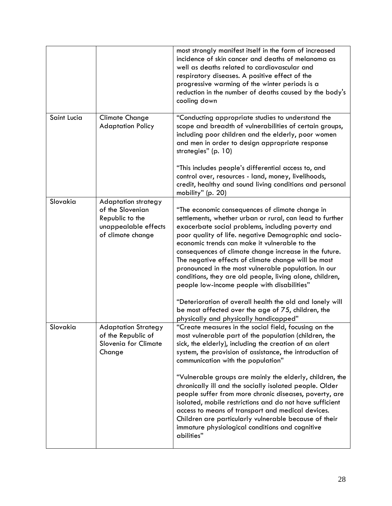|             |                                                                                                                | most strongly manifest itself in the form of increased<br>incidence of skin cancer and deaths of melanoma as<br>well as deaths related to cardiovascular and<br>respiratory diseases. A positive effect of the<br>progressive warming of the winter periods is a<br>reduction in the number of deaths caused by the body's<br>cooling down                                                                                                                                                                                                                                                                                                                                                                                 |
|-------------|----------------------------------------------------------------------------------------------------------------|----------------------------------------------------------------------------------------------------------------------------------------------------------------------------------------------------------------------------------------------------------------------------------------------------------------------------------------------------------------------------------------------------------------------------------------------------------------------------------------------------------------------------------------------------------------------------------------------------------------------------------------------------------------------------------------------------------------------------|
| Saint Lucia | <b>Climate Change</b><br><b>Adaptation Policy</b>                                                              | "Conducting appropriate studies to understand the<br>scope and breadth of vulnerabilities of certain groups,<br>including poor children and the elderly, poor women<br>and men in order to design appropriate response<br>strategies" (p. 10)                                                                                                                                                                                                                                                                                                                                                                                                                                                                              |
|             |                                                                                                                | "This includes people's differential access to, and<br>control over, resources - land, money, livelihoods,<br>credit, healthy and sound living conditions and personal<br>mobility" (p. 20)                                                                                                                                                                                                                                                                                                                                                                                                                                                                                                                                |
| Slovakia    | <b>Adaptation strategy</b><br>of the Slovenian<br>Republic to the<br>unappealable effects<br>of climate change | "The economic consequences of climate change in<br>settlements, whether urban or rural, can lead to further<br>exacerbate social problems, including poverty and<br>poor quality of life. negative Demographic and socio-<br>economic trends can make it vulnerable to the<br>consequences of climate change increase in the future.<br>The negative effects of climate change will be most<br>pronounced in the most vulnerable population. In our<br>conditions, they are old people, living alone, children,<br>people low-income people with disabilities"<br>"Deterioration of overall health the old and lonely will<br>be most affected over the age of 75, children, the<br>physically and physically handicapped" |
| Slovakia    | <b>Adaptation Strategy</b><br>of the Republic of<br>Slovenia for Climate<br>Change                             | "Create measures in the social field, focusing on the<br>most vulnerable part of the population (children, the<br>sick, the elderly), including the creation of an alert<br>system, the provision of assistance, the introduction of<br>communication with the population"<br>"Vulnerable groups are mainly the elderly, children, the<br>chronically ill and the socially isolated people. Older<br>people suffer from more chronic diseases, poverty, are<br>isolated, mobile restrictions and do not have sufficient<br>access to means of transport and medical devices.<br>Children are particularly vulnerable because of their<br>immature physiological conditions and cognitive<br>abilities"                     |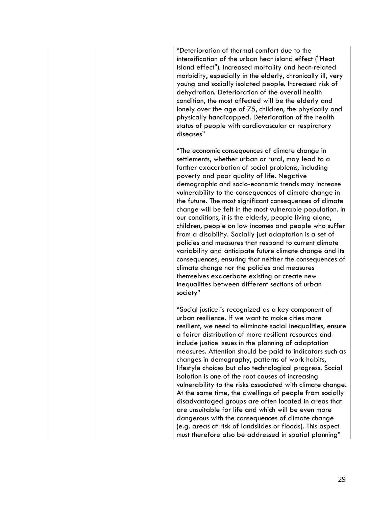|  | "Deterioration of thermal comfort due to the<br>intensification of the urban heat island effect ("Heat<br>Island effect"). Increased mortality and heat-related<br>morbidity, especially in the elderly, chronically ill, very<br>young and socially isolated people. Increased risk of<br>dehydration. Deterioration of the overall health<br>condition, the most affected will be the elderly and<br>lonely over the age of 75, children, the physically and<br>physically handicapped. Deterioration of the health<br>status of people with cardiovascular or respiratory<br>diseases"                                                                                                                                                                                                                                                                                                                                                                                         |
|--|-----------------------------------------------------------------------------------------------------------------------------------------------------------------------------------------------------------------------------------------------------------------------------------------------------------------------------------------------------------------------------------------------------------------------------------------------------------------------------------------------------------------------------------------------------------------------------------------------------------------------------------------------------------------------------------------------------------------------------------------------------------------------------------------------------------------------------------------------------------------------------------------------------------------------------------------------------------------------------------|
|  | "The economic consequences of climate change in<br>settlements, whether urban or rural, may lead to a<br>further exacerbation of social problems, including<br>poverty and poor quality of life. Negative<br>demographic and socio-economic trends may increase<br>vulnerability to the consequences of climate change in<br>the future. The most significant consequences of climate<br>change will be felt in the most vulnerable population. In<br>our conditions, it is the elderly, people living alone,<br>children, people on low incomes and people who suffer<br>from a disability. Socially just adaptation is a set of<br>policies and measures that respond to current climate<br>variability and anticipate future climate change and its<br>consequences, ensuring that neither the consequences of<br>climate change nor the policies and measures<br>themselves exacerbate existing or create new<br>inequalities between different sections of urban<br>society" |
|  | "Social justice is recognized as a key component of<br>urban resilience. If we want to make cities more<br>resilient, we need to eliminate social inequalities, ensure<br>a fairer distribution of more resilient resources and<br>include justice issues in the planning of adaptation<br>measures. Attention should be paid to indicators such as<br>changes in demography, patterns of work habits,<br>lifestyle choices but also technological progress. Social<br>isolation is one of the root causes of increasing<br>vulnerability to the risks associated with climate change.<br>At the same time, the dwellings of people from socially<br>disadvantaged groups are often located in areas that<br>are unsuitable for life and which will be even more<br>dangerous with the consequences of climate change<br>(e.g. areas at risk of landslides or floods). This aspect<br>must therefore also be addressed in spatial planning"                                       |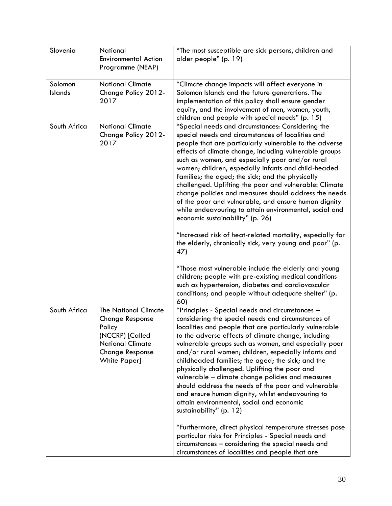| Slovenia           | National<br><b>Environmental Action</b><br>Programme (NEAP)                                                                                                    | "The most susceptible are sick persons, children and<br>older people" (p. 19)                                                                                                                                                                                                                                                                                                                                                                                                                                                                                                                                                                                                                                                                                                                                                                                                                                      |
|--------------------|----------------------------------------------------------------------------------------------------------------------------------------------------------------|--------------------------------------------------------------------------------------------------------------------------------------------------------------------------------------------------------------------------------------------------------------------------------------------------------------------------------------------------------------------------------------------------------------------------------------------------------------------------------------------------------------------------------------------------------------------------------------------------------------------------------------------------------------------------------------------------------------------------------------------------------------------------------------------------------------------------------------------------------------------------------------------------------------------|
| Solomon<br>Islands | <b>National Climate</b><br>Change Policy 2012-<br>2017                                                                                                         | "Climate change impacts will affect everyone in<br>Solomon Islands and the future generations. The<br>implementation of this policy shall ensure gender<br>equity, and the involvement of men, women, youth,<br>children and people with special needs" (p. 15)                                                                                                                                                                                                                                                                                                                                                                                                                                                                                                                                                                                                                                                    |
| South Africa       | <b>National Climate</b><br>Change Policy 2012-<br>2017                                                                                                         | "Special needs and circumstances: Considering the<br>special needs and circumstances of localities and<br>people that are particularly vulnerable to the adverse<br>effects of climate change, including vulnerable groups<br>such as women, and especially poor and/or rural<br>women; children, especially infants and child-headed<br>families; the aged; the sick; and the physically<br>challenged. Uplifting the poor and vulnerable: Climate<br>change policies and measures should address the needs<br>of the poor and vulnerable, and ensure human dignity<br>while endeavouring to attain environmental, social and<br>economic sustainability" (p. 26)<br>"Increased risk of heat-related mortality, especially for<br>the elderly, chronically sick, very young and poor" (p.<br>47)<br>"Those most vulnerable include the elderly and young<br>children; people with pre-existing medical conditions |
|                    |                                                                                                                                                                | such as hypertension, diabetes and cardiovascular<br>conditions; and people without adequate shelter" (p.<br>60)                                                                                                                                                                                                                                                                                                                                                                                                                                                                                                                                                                                                                                                                                                                                                                                                   |
| South Africa       | <b>The National Climate</b><br><b>Change Response</b><br>Policy<br>(NCCRP) [Called<br><b>National Climate</b><br><b>Change Response</b><br><b>White Paper]</b> | "Principles - Special needs and circumstances -<br>considering the special needs and circumstances of<br>localities and people that are particularly vulnerable<br>to the adverse effects of climate change, including<br>vulnerable groups such as women, and especially poor<br>and/or rural women; children, especially infants and<br>childheaded families; the aged; the sick; and the<br>physically challenged. Uplifting the poor and<br>vulnerable - climate change policies and measures<br>should address the needs of the poor and vulnerable<br>and ensure human dignity, whilst endeavouring to<br>attain environmental, social and economic<br>sustainability" (p. 12)                                                                                                                                                                                                                               |
|                    |                                                                                                                                                                | "Furthermore, direct physical temperature stresses pose<br>particular risks for Principles - Special needs and<br>circumstances - considering the special needs and<br>circumstances of localities and people that are                                                                                                                                                                                                                                                                                                                                                                                                                                                                                                                                                                                                                                                                                             |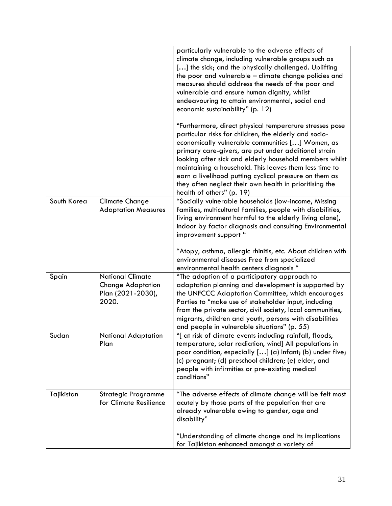|             |                                                                                   | particularly vulnerable to the adverse effects of<br>climate change, including vulnerable groups such as<br>[] the sick; and the physically challenged. Uplifting<br>the poor and vulnerable - climate change policies and<br>measures should address the needs of the poor and<br>vulnerable and ensure human dignity, whilst<br>endeavouring to attain environmental, social and<br>economic sustainability" (p. 12)                                                                              |
|-------------|-----------------------------------------------------------------------------------|-----------------------------------------------------------------------------------------------------------------------------------------------------------------------------------------------------------------------------------------------------------------------------------------------------------------------------------------------------------------------------------------------------------------------------------------------------------------------------------------------------|
|             |                                                                                   | "Furthermore, direct physical temperature stresses pose<br>particular risks for children, the elderly and socio-<br>economically vulnerable communities [] Women, as<br>primary care-givers, are put under additional strain<br>looking after sick and elderly household members whilst<br>maintaining a household. This leaves them less time to<br>earn a livelihood putting cyclical pressure on them as<br>they often neglect their own health in prioritising the<br>health of others" (p. 19) |
| South Korea | <b>Climate Change</b><br><b>Adaptation Measures</b>                               | "Socially vulnerable households (low-income, Missing<br>families, multicultural families, people with disabilities,<br>living environment harmful to the elderly living alone),<br>indoor by factor diagnosis and consulting Environmental<br>improvement support "<br>"Atopy, asthma, allergic rhinitis, etc. About children with<br>environmental diseases Free from specialized<br>environmental health centers diagnosis "                                                                      |
| Spain       | <b>National Climate</b><br><b>Change Adaptation</b><br>Plan (2021-2030),<br>2020. | "The adoption of a participatory approach to<br>adaptation planning and development is supported by<br>the UNFCCC Adaptation Committee, which encourages<br>Parties to "make use of stakeholder input, including<br>from the private sector, civil society, local communities,<br>migrants, children and youth, persons with disabilities<br>and people in vulnerable situations" (p. 55)                                                                                                           |
| Sudan       | <b>National Adaptation</b><br>Plan                                                | "[ at risk of climate events including rainfall, floods,<br>temperature, solar radiation, wind] All populations in<br>poor condition, especially [] (a) Infant; (b) under five;<br>(c) pregnant; (d) preschool children; (e) elder, and<br>people with infirmities or pre-existing medical<br>conditions"                                                                                                                                                                                           |
| Tajikistan  | <b>Strategic Programme</b><br>for Climate Resilience                              | "The adverse effects of climate change will be felt most<br>acutely by those parts of the population that are<br>already vulnerable owing to gender, age and<br>disability"                                                                                                                                                                                                                                                                                                                         |
|             |                                                                                   | "Understanding of climate change and its implications<br>for Tajikistan enhanced amongst a variety of                                                                                                                                                                                                                                                                                                                                                                                               |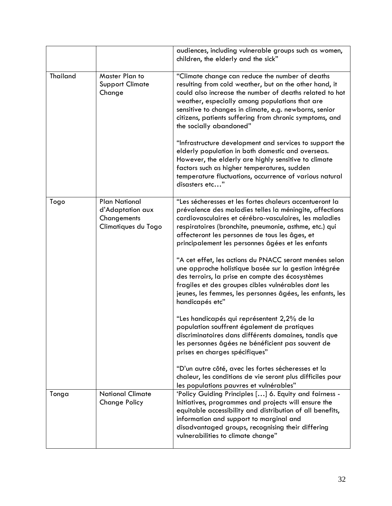|                 |                                                                                | audiences, including vulnerable groups such as women,<br>children, the elderly and the sick"                                                                                                                                                                                                                                                                                                                                                                                                                                                                                                                                                                                                                                                                                                                                                                                                                                                                                                                                                                              |
|-----------------|--------------------------------------------------------------------------------|---------------------------------------------------------------------------------------------------------------------------------------------------------------------------------------------------------------------------------------------------------------------------------------------------------------------------------------------------------------------------------------------------------------------------------------------------------------------------------------------------------------------------------------------------------------------------------------------------------------------------------------------------------------------------------------------------------------------------------------------------------------------------------------------------------------------------------------------------------------------------------------------------------------------------------------------------------------------------------------------------------------------------------------------------------------------------|
| <b>Thailand</b> | Master Plan to<br><b>Support Climate</b><br>Change                             | "Climate change can reduce the number of deaths<br>resulting from cold weather, but on the other hand, it<br>could also increase the number of deaths related to hot<br>weather, especially among populations that are<br>sensitive to changes in climate, e.g. newborns, senior<br>citizens, patients suffering from chronic symptoms, and<br>the socially abandoned"                                                                                                                                                                                                                                                                                                                                                                                                                                                                                                                                                                                                                                                                                                    |
|                 |                                                                                | "Infrastructure development and services to support the<br>elderly population in both domestic and overseas.<br>However, the elderly are highly sensitive to climate<br>factors such as higher temperatures, sudden<br>temperature fluctuations, occurrence of various natural<br>disasters etc"                                                                                                                                                                                                                                                                                                                                                                                                                                                                                                                                                                                                                                                                                                                                                                          |
| Togo            | <b>Plan National</b><br>d'Adaptation aux<br>Changements<br>Climatiques du Togo | "Les sécheresses et les fortes chaleurs accentueront la<br>prévalence des maladies telles la méningite, affections<br>cardiovasculaires et cérébro-vasculaires, les maladies<br>respiratoires (bronchite, pneumonie, asthme, etc.) qui<br>affecteront les personnes de tous les âges, et<br>principalement les personnes âgées et les enfants<br>"A cet effet, les actions du PNACC seront menées selon<br>une approche holistique basée sur la gestion intégrée<br>des terroirs, la prise en compte des écosystèmes<br>fragiles et des groupes cibles vulnérables dont les<br>jeunes, les femmes, les personnes âgées, les enfants, les<br>handicapés etc"<br>"Les handicapés qui représentent 2,2% de la<br>population souffrent également de pratiques<br>discriminatoires dans différents domaines, tandis que<br>les personnes âgées ne bénéficient pas souvent de<br>prises en charges spécifiques"<br>"D'un autre côté, avec les fortes sécheresses et la<br>chaleur, les conditions de vie seront plus difficiles pour<br>les populations pauvres et vulnérables" |
| Tonga           | <b>National Climate</b><br><b>Change Policy</b>                                | 'Policy Guiding Principles [] 6. Equity and fairness -<br>Initiatives, programmes and projects will ensure the<br>equitable accessibility and distribution of all benefits,<br>information and support to marginal and<br>disadvantaged groups, recognising their differing<br>vulnerabilities to climate change"                                                                                                                                                                                                                                                                                                                                                                                                                                                                                                                                                                                                                                                                                                                                                         |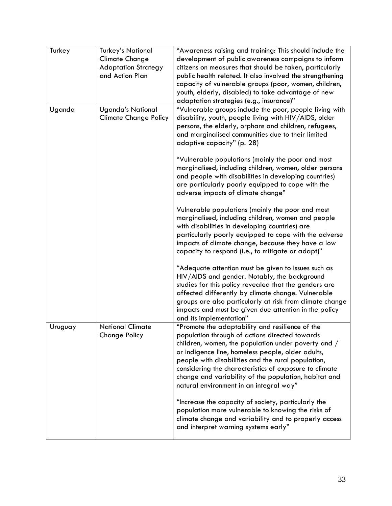| Turkey  | <b>Turkey's National</b>                                 | "Awareness raising and training: This should include the                                                                                                                                                                                                                                                                                                                                                                          |
|---------|----------------------------------------------------------|-----------------------------------------------------------------------------------------------------------------------------------------------------------------------------------------------------------------------------------------------------------------------------------------------------------------------------------------------------------------------------------------------------------------------------------|
|         | <b>Climate Change</b>                                    | development of public awareness campaigns to inform                                                                                                                                                                                                                                                                                                                                                                               |
|         | <b>Adaptation Strategy</b>                               | citizens on measures that should be taken, particularly                                                                                                                                                                                                                                                                                                                                                                           |
|         | and Action Plan                                          | public health related. It also involved the strengthening                                                                                                                                                                                                                                                                                                                                                                         |
|         |                                                          | capacity of vulnerable groups (poor, women, children,                                                                                                                                                                                                                                                                                                                                                                             |
|         |                                                          | youth, elderly, disabled) to take advantage of new                                                                                                                                                                                                                                                                                                                                                                                |
|         |                                                          | adaptation strategies (e.g., insurance)"                                                                                                                                                                                                                                                                                                                                                                                          |
| Uganda  | <b>Uganda's National</b><br><b>Climate Change Policy</b> | "Vulnerable groups include the poor, people living with<br>disability, youth, people living with HIV/AIDS, older<br>persons, the elderly, orphans and children, refugees,<br>and marginalised communities due to their limited<br>adaptive capacity" (p. 28)                                                                                                                                                                      |
|         |                                                          | "Vulnerable populations (mainly the poor and most                                                                                                                                                                                                                                                                                                                                                                                 |
|         |                                                          | marginalised, including children, women, older persons<br>and people with disabilities in developing countries)<br>are particularly poorly equipped to cope with the<br>adverse impacts of climate change"                                                                                                                                                                                                                        |
|         |                                                          | Vulnerable populations (mainly the poor and most<br>marginalised, including children, women and people<br>with disabilities in developing countries) are<br>particularly poorly equipped to cope with the adverse<br>impacts of climate change, because they have a low<br>capacity to respond (i.e., to mitigate or adapt)"                                                                                                      |
|         |                                                          | "Adequate attention must be given to issues such as<br>HIV/AIDS and gender. Notably, the background<br>studies for this policy revealed that the genders are<br>affected differently by climate change. Vulnerable<br>groups are also particularly at risk from climate change<br>impacts and must be given due attention in the policy<br>and its implementation"                                                                |
| Uruguay | <b>National Climate</b><br><b>Change Policy</b>          | "Promote the adaptability and resilience of the<br>population through of actions directed towards<br>children, women, the population under poverty and /<br>or indigence line, homeless people, older adults,<br>people with disabilities and the rural population,<br>considering the characteristics of exposure to climate<br>change and variability of the population, habitat and<br>natural environment in an integral way" |
|         |                                                          | "Increase the capacity of society, particularly the<br>population more vulnerable to knowing the risks of<br>climate change and variability and to properly access<br>and interpret warning systems early"                                                                                                                                                                                                                        |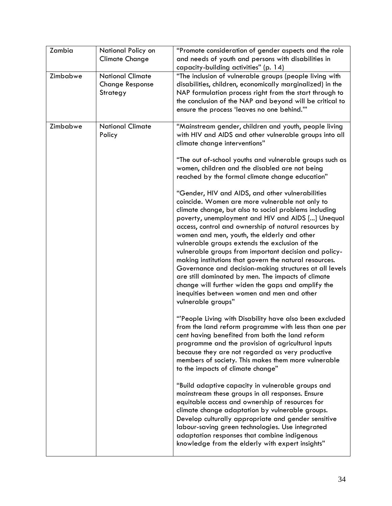| Zambia   | National Policy on<br><b>Climate Change</b>                   | "Promote consideration of gender aspects and the role<br>and needs of youth and persons with disabilities in<br>capacity-building activities" (p. 14)                                                                                                                                                                                                                                                                                                                                                                                                                                                                                                                                                                                     |
|----------|---------------------------------------------------------------|-------------------------------------------------------------------------------------------------------------------------------------------------------------------------------------------------------------------------------------------------------------------------------------------------------------------------------------------------------------------------------------------------------------------------------------------------------------------------------------------------------------------------------------------------------------------------------------------------------------------------------------------------------------------------------------------------------------------------------------------|
| Zimbabwe | <b>National Climate</b><br><b>Change Response</b><br>Strategy | "The inclusion of vulnerable groups (people living with<br>disabilities, children, economically marginalized) in the<br>NAP formulation process right from the start through to<br>the conclusion of the NAP and beyond will be critical to<br>ensure the process 'leaves no one behind."                                                                                                                                                                                                                                                                                                                                                                                                                                                 |
| Zimbabwe | <b>National Climate</b><br>Policy                             | "Mainstream gender, children and youth, people living<br>with HIV and AIDS and other vulnerable groups into all<br>climate change interventions"                                                                                                                                                                                                                                                                                                                                                                                                                                                                                                                                                                                          |
|          |                                                               | "The out of-school youths and vulnerable groups such as<br>women, children and the disabled are not being<br>reached by the formal climate change education"                                                                                                                                                                                                                                                                                                                                                                                                                                                                                                                                                                              |
|          |                                                               | "Gender, HIV and AIDS, and other vulnerabilities<br>coincide. Women are more vulnerable not only to<br>climate change, but also to social problems including<br>poverty, unemployment and HIV and AIDS [] Unequal<br>access, control and ownership of natural resources by<br>women and men, youth, the elderly and other<br>vulnerable groups extends the exclusion of the<br>vulnerable groups from important decision and policy-<br>making institutions that govern the natural resources.<br>Governance and decision-making structures at all levels<br>are still dominated by men. The impacts of climate<br>change will further widen the gaps and amplify the<br>inequities between women and men and other<br>vulnerable groups" |
|          |                                                               | "People Living with Disability have also been excluded<br>from the land reform programme with less than one per<br>cent having benefited from both the land reform<br>programme and the provision of agricultural inputs<br>because they are not regarded as very productive<br>members of society. This makes them more vulnerable<br>to the impacts of climate change"                                                                                                                                                                                                                                                                                                                                                                  |
|          |                                                               | "Build adaptive capacity in vulnerable groups and<br>mainstream these groups in all responses. Ensure<br>equitable access and ownership of resources for<br>climate change adaptation by vulnerable groups.<br>Develop culturally appropriate and gender sensitive<br>labour-saving green technologies. Use integrated<br>adaptation responses that combine indigenous<br>knowledge from the elderly with expert insights"                                                                                                                                                                                                                                                                                                                |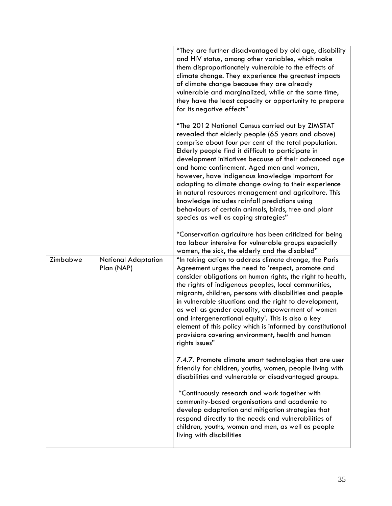|          |                                          | "They are further disadvantaged by old age, disability<br>and HIV status, among other variables, which make<br>them disproportionately vulnerable to the effects of<br>climate change. They experience the greatest impacts<br>of climate change because they are already<br>vulnerable and marginalized, while at the same time,<br>they have the least capacity or opportunity to prepare<br>for its negative effects"                                                                                                                                                                                                                          |
|----------|------------------------------------------|---------------------------------------------------------------------------------------------------------------------------------------------------------------------------------------------------------------------------------------------------------------------------------------------------------------------------------------------------------------------------------------------------------------------------------------------------------------------------------------------------------------------------------------------------------------------------------------------------------------------------------------------------|
|          |                                          | "The 2012 National Census carried out by ZIMSTAT<br>revealed that elderly people (65 years and above)<br>comprise about four per cent of the total population.<br>Elderly people find it difficult to participate in<br>development initiatives because of their advanced age<br>and home confinement. Aged men and women,<br>however, have indigenous knowledge important for<br>adapting to climate change owing to their experience<br>in natural resources management and agriculture. This<br>knowledge includes rainfall predictions using<br>behaviours of certain animals, birds, tree and plant<br>species as well as coping strategies" |
|          |                                          | "Conservation agriculture has been criticized for being<br>too labour intensive for vulnerable groups especially<br>women, the sick, the elderly and the disabled"                                                                                                                                                                                                                                                                                                                                                                                                                                                                                |
| Zimbabwe | <b>National Adaptation</b><br>Plan (NAP) | "In taking action to address climate change, the Paris<br>Agreement urges the need to 'respect, promote and<br>consider obligations on human rights, the right to health,<br>the rights of indigenous peoples, local communities,<br>migrants, children, persons with disabilities and people<br>in vulnerable situations and the right to development,<br>as well as gender equality, empowerment of women<br>and intergenerational equity'. This is also a key<br>element of this policy which is informed by constitutional<br>provisions covering environment, health and human<br>rights issues"                                             |
|          |                                          | 7.4.7. Promote climate smart technologies that are user<br>friendly for children, youths, women, people living with<br>disabilities and vulnerable or disadvantaged groups.                                                                                                                                                                                                                                                                                                                                                                                                                                                                       |
|          |                                          | "Continuously research and work together with<br>community-based organisations and academia to<br>develop adaptation and mitigation strategies that<br>respond directly to the needs and vulnerabilities of<br>children, youths, women and men, as well as people<br>living with disabilities                                                                                                                                                                                                                                                                                                                                                     |